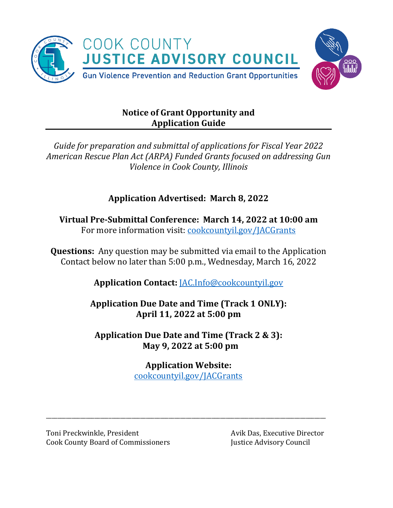

# **Notice of Grant Opportunity and Application Guide**

*Guide for preparation and submittal of applications for Fiscal Year 2022 American Rescue Plan Act (ARPA) Funded Grants focused on addressing Gun Violence in Cook County, Illinois* 

# **Application Advertised: March 8, 2022**

**Virtual Pre-Submittal Conference: March 14, 2022 at 10:00 am** For more information visit: [cookcountyil.gov/JACGrants](https://www.cookcountyil.gov/JACGrants)

**Questions:** Any question may be submitted via email to the Application Contact below no later than 5:00 p.m., Wednesday, March 16, 2022

**Application Contact:** [JAC.Info@cookcountyil.gov](mailto:JAC.Info@cookcountyil.gov)

**Application Due Date and Time (Track 1 ONLY): April 11, 2022 at 5:00 pm**

**Application Due Date and Time (Track 2 & 3): May 9, 2022 at 5:00 pm**

# **Application Website:**

[cookcountyil.gov/JACGrants](https://www.cookcountyil.gov/JACGrants)

\_\_\_\_\_\_\_\_\_\_\_\_\_\_\_\_\_\_\_\_\_\_\_\_\_\_\_\_\_\_\_\_\_\_\_\_\_\_\_\_\_\_\_\_\_\_\_\_\_\_\_\_\_\_\_\_\_\_\_\_\_\_\_\_\_\_\_\_\_\_\_\_\_\_\_\_\_\_\_\_\_\_\_\_\_\_\_\_\_\_\_\_\_\_\_\_\_\_

Toni Preckwinkle, President Avik Das, Executive Director Cook County Board of Commissioners Justice Advisory Council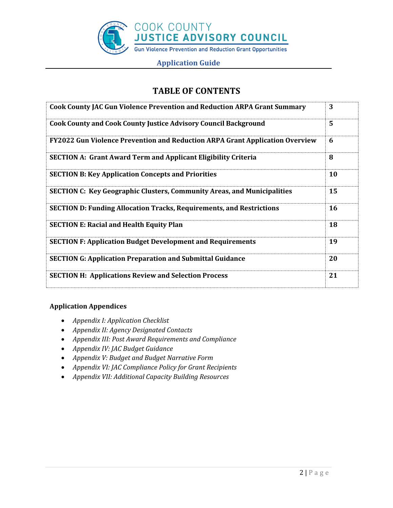

# **TABLE OF CONTENTS**

| <b>Cook County JAC Gun Violence Prevention and Reduction ARPA Grant Summary</b> | 3         |
|---------------------------------------------------------------------------------|-----------|
| <b>Cook County and Cook County Justice Advisory Council Background</b>          | 5         |
| FY2022 Gun Violence Prevention and Reduction ARPA Grant Application Overview    | 6         |
| <b>SECTION A: Grant Award Term and Applicant Eligibility Criteria</b>           | 8         |
| <b>SECTION B: Key Application Concepts and Priorities</b>                       | <b>10</b> |
| <b>SECTION C: Key Geographic Clusters, Community Areas, and Municipalities</b>  | 15        |
| <b>SECTION D: Funding Allocation Tracks, Requirements, and Restrictions</b>     | <b>16</b> |
| <b>SECTION E: Racial and Health Equity Plan</b>                                 | 18        |
| <b>SECTION F: Application Budget Development and Requirements</b>               | 19        |
| <b>SECTION G: Application Preparation and Submittal Guidance</b>                | 20        |
| <b>SECTION H: Applications Review and Selection Process</b>                     | 21        |

# **Application Appendices**

- *Appendix I: Application Checklist*
- *Appendix II: Agency Designated Contacts*
- *Appendix III: Post Award Requirements and Compliance*
- *Appendix IV: JAC Budget Guidance*
- *Appendix V: Budget and Budget Narrative Form*
- *Appendix VI: JAC Compliance Policy for Grant Recipients*
- *Appendix VII: Additional Capacity Building Resources*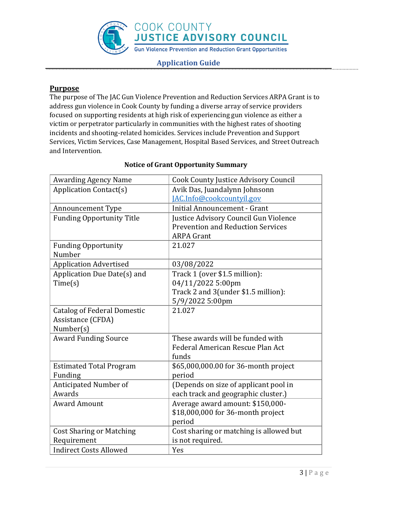**Application Guide**

# **Purpose**

The purpose of The JAC Gun Violence Prevention and Reduction Services ARPA Grant is to address gun violence in Cook County by funding a diverse array of service providers focused on supporting residents at high risk of experiencing gun violence as either a victim or perpetrator particularly in communities with the highest rates of shooting incidents and shooting-related homicides. Services include Prevention and Support Services, Victim Services, Case Management, Hospital Based Services, and Street Outreach and Intervention.

| <b>Awarding Agency Name</b>        | <b>Cook County Justice Advisory Council</b> |
|------------------------------------|---------------------------------------------|
| <b>Application Contact(s)</b>      | Avik Das, Juandalynn Johnsonn               |
|                                    | JAC.Info@cookcountyil.gov                   |
| <b>Announcement Type</b>           | <b>Initial Announcement - Grant</b>         |
| <b>Funding Opportunity Title</b>   | Justice Advisory Council Gun Violence       |
|                                    | <b>Prevention and Reduction Services</b>    |
|                                    | <b>ARPA Grant</b>                           |
| <b>Funding Opportunity</b>         | 21.027                                      |
| Number                             |                                             |
| <b>Application Advertised</b>      | 03/08/2022                                  |
| Application Due Date(s) and        | Track 1 (over \$1.5 million):               |
| Time(s)                            | 04/11/2022 5:00pm                           |
|                                    | Track 2 and 3(under \$1.5 million):         |
|                                    | 5/9/2022 5:00pm                             |
| <b>Catalog of Federal Domestic</b> | 21.027                                      |
| Assistance (CFDA)                  |                                             |
| Number(s)                          |                                             |
| <b>Award Funding Source</b>        | These awards will be funded with            |
|                                    | Federal American Rescue Plan Act            |
|                                    | funds                                       |
| <b>Estimated Total Program</b>     | \$65,000,000.00 for 36-month project        |
| Funding                            | period                                      |
| Anticipated Number of              | (Depends on size of applicant pool in       |
| Awards                             | each track and geographic cluster.)         |
| <b>Award Amount</b>                | Average award amount: \$150,000-            |
|                                    | \$18,000,000 for 36-month project           |
|                                    | period                                      |
| <b>Cost Sharing or Matching</b>    | Cost sharing or matching is allowed but     |
| Requirement                        | is not required.                            |
| <b>Indirect Costs Allowed</b>      | Yes                                         |

# **Notice of Grant Opportunity Summary**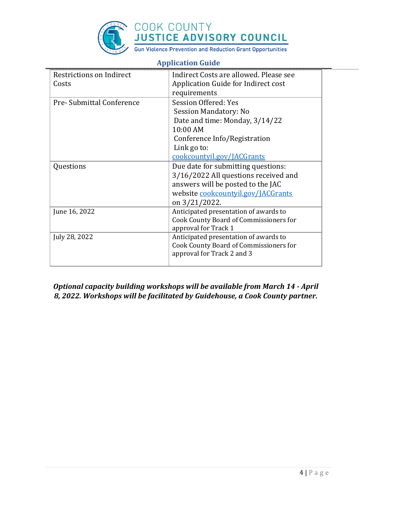

| Restrictions on Indirect  | Indirect Costs are allowed. Please see |
|---------------------------|----------------------------------------|
| Costs                     | Application Guide for Indirect cost    |
|                           | requirements                           |
| Pre- Submittal Conference | Session Offered: Yes                   |
|                           | <b>Session Mandatory: No</b>           |
|                           | Date and time: Monday, 3/14/22         |
|                           | 10:00 AM                               |
|                           | Conference Info/Registration           |
|                           | Link go to:                            |
|                           | cookcountyil.gov/JACGrants             |
| Questions                 | Due date for submitting questions:     |
|                           | 3/16/2022 All questions received and   |
|                           | answers will be posted to the JAC      |
|                           | website cookcountyil.gov/JACGrants     |
|                           | on 3/21/2022.                          |
| June 16, 2022             | Anticipated presentation of awards to  |
|                           | Cook County Board of Commissioners for |
|                           | approval for Track 1                   |
| July 28, 2022             | Anticipated presentation of awards to  |
|                           | Cook County Board of Commissioners for |
|                           | approval for Track 2 and 3             |
|                           |                                        |

# *Optional capacity building workshops will be available from March 14 - April 8, 2022. Workshops will be facilitated by Guidehouse, a Cook County partner.*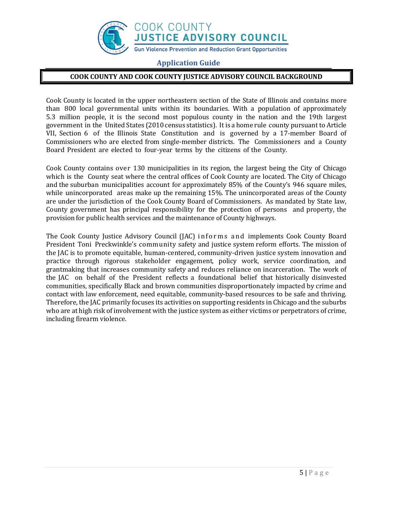

### **COOK COUNTY AND COOK COUNTY JUSTICE ADVISORY COUNCIL BACKGROUND**

Cook County is located in the upper northeastern section of the State of Illinois and contains more than 800 local governmental units within its boundaries. With a population of approximately 5.3 million people, it is the second most populous county in the nation and the 19th largest government in the United States (2010 census statistics). It is a home rule county pursuant to Article VII, Section 6 of the Illinois State Constitution and is governed by a 17-member Board of Commissioners who are elected from single-member districts. The Commissioners and a County Board President are elected to four-year terms by the citizens of the County.

Cook County contains over 130 municipalities in its region, the largest being the City of Chicago which is the County seat where the central offices of Cook County are located. The City of Chicago and the suburban municipalities account for approximately 85% of the County's 946 square miles, while unincorporated areas make up the remaining 15%. The unincorporated areas of the County are under the jurisdiction of the Cook County Board of Commissioners. As mandated by State law, County government has principal responsibility for the protection of persons and property, the provision for public health services and the maintenance of County highways.

The Cook County Justice Advisory Council (JAC) informs and implements Cook County Board President Toni Preckwinkle's community safety and justice system reform efforts. The mission of the JAC is to promote equitable, human-centered, community-driven justice system innovation and practice through rigorous stakeholder engagement, policy work, service coordination, and grantmaking that increases community safety and reduces reliance on incarceration. The work of the JAC on behalf of the President reflects a foundational belief that historically disinvested communities, specifically Black and brown communities disproportionately impacted by crime and contact with law enforcement, need equitable, community-based resources to be safe and thriving. Therefore, the JAC primarily focuses its activities on supporting residents in Chicago and the suburbs who are at high risk of involvement with the justice system as either victims or perpetrators of crime, including firearm violence.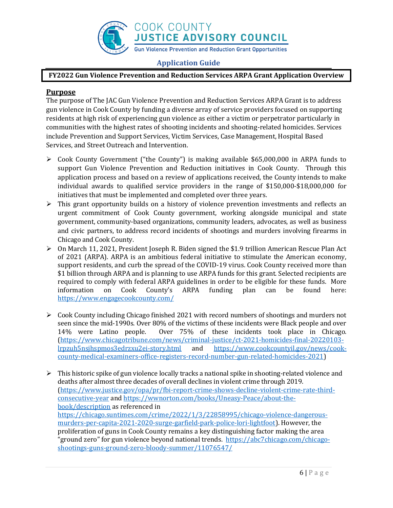

# **FY2022 Gun Violence Prevention and Reduction Services ARPA Grant Application Overview**

# **Purpose**

The purpose of The JAC Gun Violence Prevention and Reduction Services ARPA Grant is to address gun violence in Cook County by funding a diverse array of service providers focused on supporting residents at high risk of experiencing gun violence as either a victim or perpetrator particularly in communities with the highest rates of shooting incidents and shooting-related homicides. Services include Prevention and Support Services, Victim Services, Case Management, Hospital Based Services, and Street Outreach and Intervention.

- $\triangleright$  Cook County Government ("the County") is making available \$65,000,000 in ARPA funds to support Gun Violence Prevention and Reduction initiatives in Cook County. Through this application process and based on a review of applications received, the County intends to make individual awards to qualified service providers in the range of \$150,000-\$18,000,000 for initiatives that must be implemented and completed over three years.
- $\triangleright$  This grant opportunity builds on a history of violence prevention investments and reflects an urgent commitment of Cook County government, working alongside municipal and state government, community-based organizations, community leaders, advocates, as well as business and civic partners, to address record incidents of shootings and murders involving firearms in Chicago and Cook County.
- $\triangleright$  On March 11, 2021, President Joseph R. Biden signed the \$1.9 trillion American Rescue Plan Act of 2021 (ARPA). ARPA is an ambitious federal initiative to stimulate the American economy, support residents, and curb the spread of the COVID-19 virus. Cook County received more than \$1 billion through ARPA and is planning to use ARPA funds for this grant. Selected recipients are required to comply with federal ARPA guidelines in order to be eligible for these funds. More information on Cook County's ARPA funding plan can be found here: <https://www.engagecookcounty.com/>
- $\triangleright$  Cook County including Chicago finished 2021 with record numbers of shootings and murders not seen since the mid-1990s. Over 80% of the victims of these incidents were Black people and over 14% were Latino people. Over 75% of these incidents took place in Chicago. [\(https://www.chicagotribune.com/news/criminal-justice/ct-2021-homicides-final-20220103](https://www.chicagotribune.com/news/criminal-justice/ct-2021-homicides-final-20220103-lrpzuh5nsjhspmos3edrzxu2ei-story.html) [lrpzuh5nsjhspmos3edrzxu2ei-story.html](https://www.chicagotribune.com/news/criminal-justice/ct-2021-homicides-final-20220103-lrpzuh5nsjhspmos3edrzxu2ei-story.html) and [https://www.cookcountyil.gov/news/cook](https://www.cookcountyil.gov/news/cook-county-medical-examiners-office-registers-record-number-gun-related-homicides-2021)[county-medical-examiners-office-registers-record-number-gun-related-homicides-2021\)](https://www.cookcountyil.gov/news/cook-county-medical-examiners-office-registers-record-number-gun-related-homicides-2021)
- $\triangleright$  This historic spike of gun violence locally tracks a national spike in shooting-related violence and deaths after almost three decades of overall declines in violent crime through 2019. [\(https://www.justice.gov/opa/pr/fbi-report-crime-shows-decline-violent-crime-rate-third](https://www.justice.gov/opa/pr/fbi-report-crime-shows-decline-violent-crime-rate-third-consecutive-year)[consecutive-year](https://www.justice.gov/opa/pr/fbi-report-crime-shows-decline-violent-crime-rate-third-consecutive-year) an[d https://wwnorton.com/books/Uneasy-Peace/about-the](https://wwnorton.com/books/Uneasy-Peace/about-the-book/description)[book/description](https://wwnorton.com/books/Uneasy-Peace/about-the-book/description) as referenced in [https://chicago.suntimes.com/crime/2022/1/3/22858995/chicago-violence-dangerous](https://chicago.suntimes.com/crime/2022/1/3/22858995/chicago-violence-dangerous-murders-per-capita-2021-2020-surge-garfield-park-police-lori-lightfoot)[murders-per-capita-2021-2020-surge-garfield-park-police-lori-lightfoot\)](https://chicago.suntimes.com/crime/2022/1/3/22858995/chicago-violence-dangerous-murders-per-capita-2021-2020-surge-garfield-park-police-lori-lightfoot). However, the proliferation of guns in Cook County remains a key distinguishing factor making the area "ground zero" for gun violence beyond national trends. [https://abc7chicago.com/chicago](https://abc7chicago.com/chicago-shootings-guns-ground-zero-bloody-summer/11076547/)[shootings-guns-ground-zero-bloody-summer/11076547/](https://abc7chicago.com/chicago-shootings-guns-ground-zero-bloody-summer/11076547/)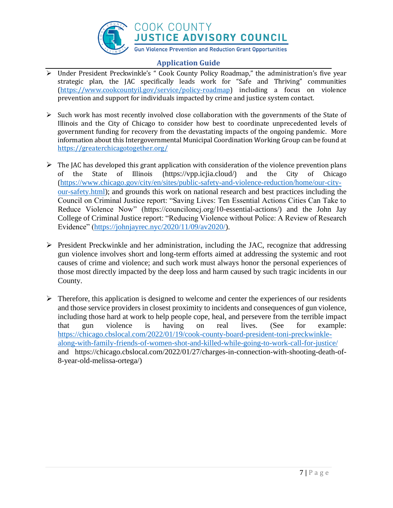

- Under President Preckwinkle's " Cook County Policy Roadmap," the administration's five year strategic plan, the JAC specifically leads work for "Safe and Thriving" communities [\(https://www.cookcountyil.gov/service/policy-roadmap\)](https://www.cookcountyil.gov/service/policy-roadmap) including a focus on violence prevention and support for individuals impacted by crime and justice system contact.
- $\triangleright$  Such work has most recently involved close collaboration with the governments of the State of Illinois and the City of Chicago to consider how best to coordinate unprecedented levels of government funding for recovery from the devastating impacts of the ongoing pandemic. More information about this Intergovernmental Municipal Coordination Working Group can be found at <https://greaterchicagotogether.org/>
- $\triangleright$  The JAC has developed this grant application with consideration of the violence prevention plans of the State of Illinois (https://vpp.icjia.cloud/) and the City of Chicago ([https://www.chicago.gov/city/en/sites/public-safety-and-violence-reduction/home/our-city](https://www.chicago.gov/city/en/sites/public-safety-and-violence-reduction/home/our-city-our-safety.html)[our-safety.html\)](https://www.chicago.gov/city/en/sites/public-safety-and-violence-reduction/home/our-city-our-safety.html); and grounds this work on national research and best practices including the Council on Criminal Justice report: "Saving Lives: Ten Essential Actions Cities Can Take to Reduce Violence Now" (https://counciloncj.org/10-essential-actions/) and the John Jay College of Criminal Justice report: "Reducing Violence without Police: A Review of Research Evidence" [\(https://johnjayrec.nyc/2020/11/09/av2020/\)](https://johnjayrec.nyc/2020/11/09/av2020/).
- $\triangleright$  President Preckwinkle and her administration, including the JAC, recognize that addressing gun violence involves short and long-term efforts aimed at addressing the systemic and root causes of crime and violence; and such work must always honor the personal experiences of those most directly impacted by the deep loss and harm caused by such tragic incidents in our County.
- $\triangleright$  Therefore, this application is designed to welcome and center the experiences of our residents and those service providers in closest proximity to incidents and consequences of gun violence, including those hard at work to help people cope, heal, and persevere from the terrible impact that gun violence is having on real lives. (See for example: [https://chicago.cbslocal.com/2022/01/19/cook-county-board-president-toni-preckwinkle](https://chicago.cbslocal.com/2022/01/19/cook-county-board-president-toni-preckwinkle-along-with-family-friends-of-women-shot-and-killed-while-going-to-work-call-for-justice/)[along-with-family-friends-of-women-shot-and-killed-while-going-to-work-call-for-justice/](https://chicago.cbslocal.com/2022/01/19/cook-county-board-president-toni-preckwinkle-along-with-family-friends-of-women-shot-and-killed-while-going-to-work-call-for-justice/) and https://chicago.cbslocal.com/2022/01/27/charges-in-connection-with-shooting-death-of-8-year-old-melissa-ortega/)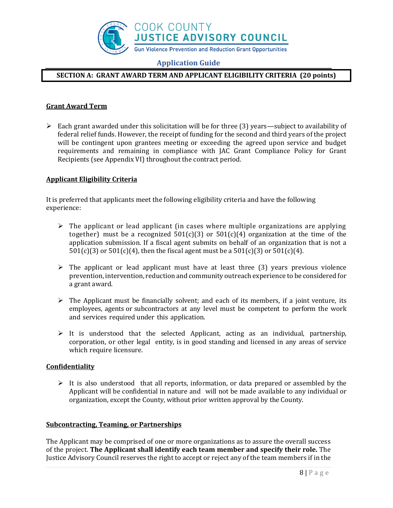

# **SECTION A: GRANT AWARD TERM AND APPLICANT ELIGIBILITY CRITERIA (20 points)**

# **Grant Award Term**

 $\triangleright$  Each grant awarded under this solicitation will be for three (3) years—subject to availability of federal relief funds. However, the receipt of funding for the second and third years of the project will be contingent upon grantees meeting or exceeding the agreed upon service and budget requirements and remaining in compliance with JAC Grant Compliance Policy for Grant Recipients (see Appendix VI) throughout the contract period.

### **Applicant Eligibility Criteria**

It is preferred that applicants meet the following eligibility criteria and have the following experience:

- $\triangleright$  The applicant or lead applicant (in cases where multiple organizations are applying together) must be a recognized  $501(c)(3)$  or  $501(c)(4)$  organization at the time of the application submission. If a fiscal agent submits on behalf of an organization that is not a  $501(c)(3)$  or  $501(c)(4)$ , then the fiscal agent must be a  $501(c)(3)$  or  $501(c)(4)$ .
- $\triangleright$  The applicant or lead applicant must have at least three (3) years previous violence prevention, intervention, reduction and community outreach experience to be considered for a grant award.
- $\triangleright$  The Applicant must be financially solvent; and each of its members, if a joint venture, its employees, agents or subcontractors at any level must be competent to perform the work and services required under this application.
- $\triangleright$  It is understood that the selected Applicant, acting as an individual, partnership, corporation, or other legal entity, is in good standing and licensed in any areas of service which require licensure.

### **Confidentiality**

 $\triangleright$  It is also understood that all reports, information, or data prepared or assembled by the Applicant will be confidential in nature and will not be made available to any individual or organization, except the County, without prior written approval by the County.

### **Subcontracting, Teaming, or Partnerships**

The Applicant may be comprised of one or more organizations as to assure the overall success of the project. **The Applicant shall identify each team member and specify their role.** The Justice Advisory Council reserves the right to accept or reject any of the team members if in the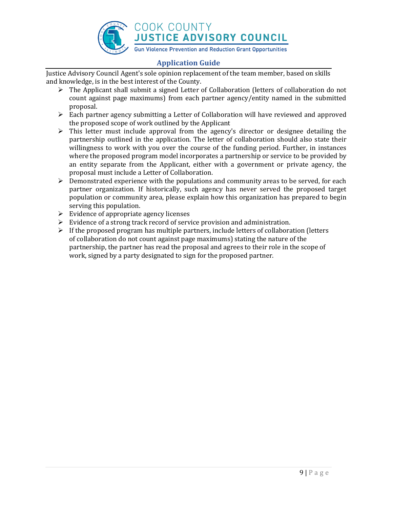

Justice Advisory Council Agent's sole opinion replacement of the team member, based on skills and knowledge, is in the best interest of the County.

- ➢ The Applicant shall submit a signed Letter of Collaboration (letters of collaboration do not count against page maximums) from each partner agency/entity named in the submitted proposal.
- $\triangleright$  Each partner agency submitting a Letter of Collaboration will have reviewed and approved the proposed scope of work outlined by the Applicant
- ➢ This letter must include approval from the agency's director or designee detailing the partnership outlined in the application. The letter of collaboration should also state their willingness to work with you over the course of the funding period. Further, in instances where the proposed program model incorporates a partnership or service to be provided by an entity separate from the Applicant, either with a government or private agency, the proposal must include a Letter of Collaboration.
- $\triangleright$  Demonstrated experience with the populations and community areas to be served, for each partner organization. If historically, such agency has never served the proposed target population or community area, please explain how this organization has prepared to begin serving this population.
- $\triangleright$  Evidence of appropriate agency licenses
- ➢ Evidence of a strong track record of service provision and administration.
- $\triangleright$  If the proposed program has multiple partners, include letters of collaboration (letters of collaboration do not count against page maximums) stating the nature of the partnership, the partner has read the proposal and agrees to their role in the scope of work, signed by a party designated to sign for the proposed partner.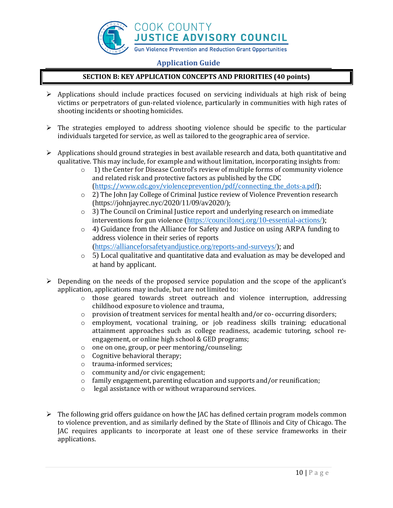

# **SECTION B: KEY APPLICATION CONCEPTS AND PRIORITIES (40 points)**

- $\triangleright$  Applications should include practices focused on servicing individuals at high risk of being victims or perpetrators of gun-related violence, particularly in communities with high rates of shooting incidents or shooting homicides.
- $\triangleright$  The strategies employed to address shooting violence should be specific to the particular individuals targeted for service, as well as tailored to the geographic area of service.
- $\triangleright$  Applications should ground strategies in best available research and data, both quantitative and qualitative. This may include, for example and without limitation, incorporating insights from:
	- o 1) the Center for Disease Control's review of multiple forms of community violence and related risk and protective factors as published by the CDC (https://www.cdc.gov/violenceprevention/pdf/connecting the dots-a.pdf);
	- $\circ$  2) The John Jay College of Criminal Justice review of Violence Prevention research (https://johnjayrec.nyc/2020/11/09/av2020/);
	- o 3) The Council on Criminal Justice report and underlying research on immediate interventions for gun violence [\(https://counciloncj.org/10-essential-actions/\)](https://counciloncj.org/10-essential-actions/);
	- o 4) Guidance from the Alliance for Safety and Justice on using ARPA funding to address violence in their series of reports [\(https://allianceforsafetyandjustice.org/reports-and-surveys/\)](https://allianceforsafetyandjustice.org/reports-and-surveys/); and
	- o 5) Local qualitative and quantitative data and evaluation as may be developed and at hand by applicant.
- $\triangleright$  Depending on the needs of the proposed service population and the scope of the applicant's application, applications may include, but are not limited to:
	- $\circ$  those geared towards street outreach and violence interruption, addressing childhood exposure to violence and trauma,
	- o provision of treatment services for mental health and/or co- occurring disorders;
	- o employment, vocational training, or job readiness skills training; educational attainment approaches such as college readiness, academic tutoring, school reengagement, or online high school & GED programs;
	- o one on one, group, or peer mentoring/counseling;
	- o Cognitive behavioral therapy;
	- o trauma-informed services;
	- o community and/or civic engagement;
	- o family engagement, parenting education and supports and/or reunification;
	- o legal assistance with or without wraparound services.
- $\triangleright$  The following grid offers guidance on how the JAC has defined certain program models common to violence prevention, and as similarly defined by the State of Illinois and City of Chicago. The JAC requires applicants to incorporate at least one of these service frameworks in their applications.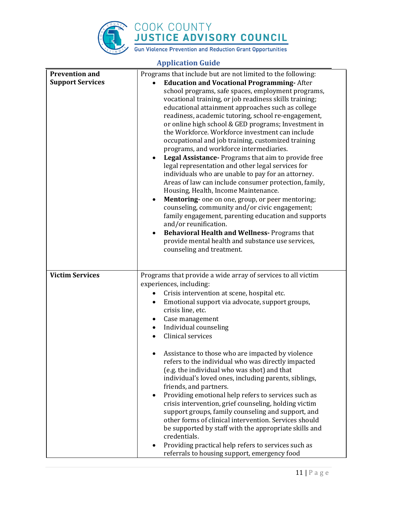

| <b>Application Guide</b>                         |                                                                                                                                                                                                                                                                                                                                                                                                                                                                                                                                                                                                                                                                                                                                                                                                                                                                                                                                                                                                                                                                                                                                                                        |  |
|--------------------------------------------------|------------------------------------------------------------------------------------------------------------------------------------------------------------------------------------------------------------------------------------------------------------------------------------------------------------------------------------------------------------------------------------------------------------------------------------------------------------------------------------------------------------------------------------------------------------------------------------------------------------------------------------------------------------------------------------------------------------------------------------------------------------------------------------------------------------------------------------------------------------------------------------------------------------------------------------------------------------------------------------------------------------------------------------------------------------------------------------------------------------------------------------------------------------------------|--|
| <b>Prevention and</b><br><b>Support Services</b> | Programs that include but are not limited to the following:<br><b>Education and Vocational Programming-After</b><br>school programs, safe spaces, employment programs,<br>vocational training, or job readiness skills training;<br>educational attainment approaches such as college<br>readiness, academic tutoring, school re-engagement,<br>or online high school & GED programs; Investment in<br>the Workforce. Workforce investment can include<br>occupational and job training, customized training<br>programs, and workforce intermediaries.<br>Legal Assistance- Programs that aim to provide free<br>legal representation and other legal services for<br>individuals who are unable to pay for an attorney.<br>Areas of law can include consumer protection, family,<br>Housing, Health, Income Maintenance.<br>Mentoring- one on one, group, or peer mentoring;<br>counseling, community and/or civic engagement;<br>family engagement, parenting education and supports<br>and/or reunification.<br><b>Behavioral Health and Wellness-Programs that</b><br>$\bullet$<br>provide mental health and substance use services,<br>counseling and treatment. |  |
| <b>Victim Services</b>                           | Programs that provide a wide array of services to all victim<br>experiences, including:<br>Crisis intervention at scene, hospital etc.<br>Emotional support via advocate, support groups,<br>٠<br>crisis line, etc.<br>Case management<br>٠<br>Individual counseling<br>Clinical services<br>Assistance to those who are impacted by violence<br>refers to the individual who was directly impacted<br>(e.g. the individual who was shot) and that<br>individual's loved ones, including parents, siblings,<br>friends, and partners.<br>Providing emotional help refers to services such as<br>$\bullet$<br>crisis intervention, grief counseling, holding victim<br>support groups, family counseling and support, and<br>other forms of clinical intervention. Services should<br>be supported by staff with the appropriate skills and<br>credentials.<br>Providing practical help refers to services such as<br>referrals to housing support, emergency food                                                                                                                                                                                                      |  |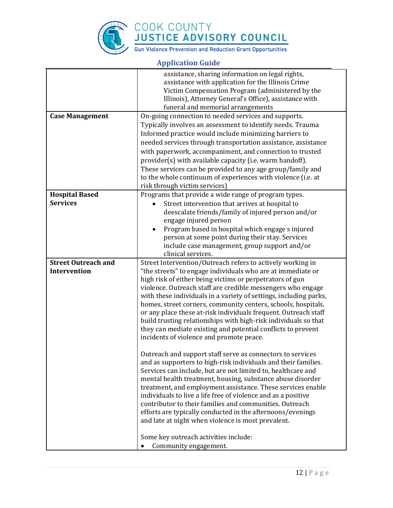

|                                          | assistance, sharing information on legal rights,                  |
|------------------------------------------|-------------------------------------------------------------------|
|                                          | assistance with application for the Illinois Crime                |
|                                          | Victim Compensation Program (administered by the                  |
|                                          | Illinois), Attorney General's Office), assistance with            |
|                                          | funeral and memorial arrangements                                 |
| <b>Case Management</b>                   | On-going connection to needed services and supports.              |
|                                          | Typically involves an assessment to identify needs. Trauma        |
|                                          | Informed practice would include minimizing barriers to            |
|                                          | needed services through transportation assistance, assistance     |
|                                          | with paperwork, accompaniment, and connection to trusted          |
|                                          | provider(s) with available capacity (i.e. warm handoff).          |
|                                          | These services can be provided to any age group/family and        |
|                                          | to the whole continuum of experiences with violence (i.e. at      |
|                                          |                                                                   |
|                                          | risk through victim services)                                     |
| <b>Hospital Based</b><br><b>Services</b> | Programs that provide a wide range of program types.              |
|                                          | Street intervention that arrives at hospital to                   |
|                                          | deescalate friends/family of injured person and/or                |
|                                          | engage injured person                                             |
|                                          | Program based in hospital which engage s injured                  |
|                                          | person at some point during their stay. Services                  |
|                                          | include case management, group support and/or                     |
|                                          | clinical services.                                                |
| <b>Street Outreach and</b>               | Street Intervention/Outreach refers to actively working in        |
| Intervention                             | "the streets" to engage individuals who are at immediate or       |
|                                          | high risk of either being victims or perpetrators of gun          |
|                                          | violence. Outreach staff are credible messengers who engage       |
|                                          | with these individuals in a variety of settings, including parks, |
|                                          | homes, street corners, community centers, schools, hospitals,     |
|                                          | or any place these at-risk individuals frequent. Outreach staff   |
|                                          | build trusting relationships with high-risk individuals so that   |
|                                          | they can mediate existing and potential conflicts to prevent      |
|                                          | incidents of violence and promote peace.                          |
|                                          |                                                                   |
|                                          | Outreach and support staff serve as connectors to services        |
|                                          | and as supporters to high-risk individuals and their families.    |
|                                          | Services can include, but are not limited to, healthcare and      |
|                                          | mental health treatment, housing, substance abuse disorder        |
|                                          | treatment, and employment assistance. These services enable       |
|                                          | individuals to live a life free of violence and as a positive     |
|                                          | contributor to their families and communities. Outreach           |
|                                          | efforts are typically conducted in the afternoons/evenings        |
|                                          | and late at night when violence is most prevalent.                |
|                                          |                                                                   |
|                                          | Some key outreach activities include:                             |
|                                          | Community engagement.                                             |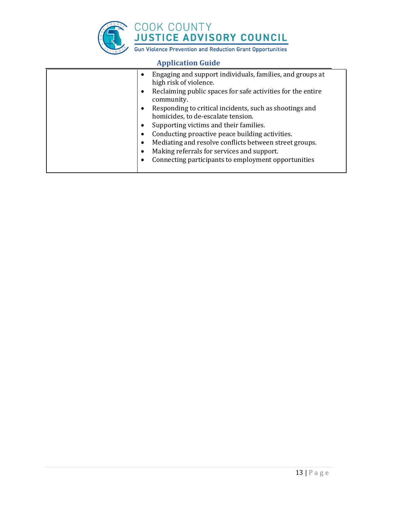

| Engaging and support individuals, families, and groups at<br>$\bullet$<br>high risk of violence.<br>Reclaiming public spaces for safe activities for the entire<br>$\bullet$<br>community.<br>Responding to critical incidents, such as shootings and<br>$\bullet$<br>homicides, to de-escalate tension.<br>Supporting victims and their families.<br>$\bullet$<br>Conducting proactive peace building activities.<br>$\bullet$<br>Mediating and resolve conflicts between street groups.<br>$\bullet$<br>Making referrals for services and support.<br>$\bullet$ |
|-------------------------------------------------------------------------------------------------------------------------------------------------------------------------------------------------------------------------------------------------------------------------------------------------------------------------------------------------------------------------------------------------------------------------------------------------------------------------------------------------------------------------------------------------------------------|
| Connecting participants to employment opportunities<br>$\bullet$                                                                                                                                                                                                                                                                                                                                                                                                                                                                                                  |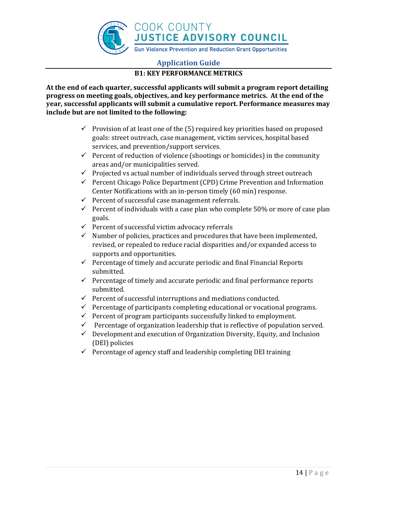

# **B1: KEY PERFORMANCE METRICS**

**At the end of each quarter, successful applicants will submit a program report detailing progress on meeting goals, objectives, and key performance metrics. At the end of the year, successful applicants will submit a cumulative report. Performance measures may include but are not limited to the following:**

- $\checkmark$  Provision of at least one of the (5) required key priorities based on proposed goals: street outreach, case management, victim services, hospital based services, and prevention/support services.
- ✓ Percent of reduction of violence (shootings or homicides) in the community areas and/or municipalities served.
- ✓ Projected vs actual number of individuals served through street outreach
- $\checkmark$  Percent Chicago Police Department (CPD) Crime Prevention and Information Center Notifications with an in-person timely (60 min) response.
- $\checkmark$  Percent of successful case management referrals.
- $\checkmark$  Percent of individuals with a case plan who complete 50% or more of case plan goals.
- $\checkmark$  Percent of successful victim advocacy referrals
- $\checkmark$  Number of policies, practices and procedures that have been implemented, revised, or repealed to reduce racial disparities and/or expanded access to supports and opportunities.
- $\checkmark$  Percentage of timely and accurate periodic and final Financial Reports submitted.
- $\checkmark$  Percentage of timely and accurate periodic and final performance reports submitted.
- ✓ Percent of successful interruptions and mediations conducted.
- $\checkmark$  Percentage of participants completing educational or vocational programs.
- $\checkmark$  Percent of program participants successfully linked to employment.
- $\checkmark$  Percentage of organization leadership that is reflective of population served.
- $\checkmark$  Development and execution of Organization Diversity, Equity, and Inclusion (DEI) policies
- $\checkmark$  Percentage of agency staff and leadership completing DEI training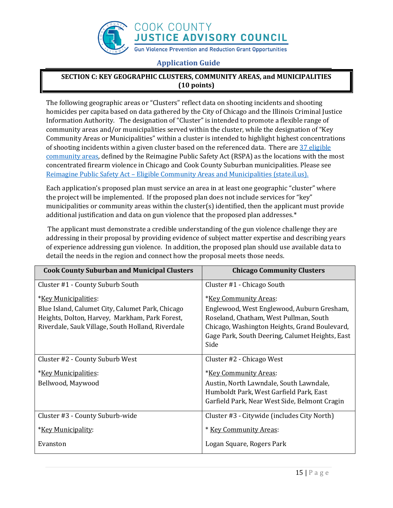

# **SECTION C: KEY GEOGRAPHIC CLUSTERS, COMMUNITY AREAS, and MUNICIPALITIES (10 points)**

The following geographic areas or "Clusters" reflect data on shooting incidents and shooting homicides per capita based on data gathered by the City of Chicago and the Illinois Criminal Justice Information Authority. The designation of "Cluster" is intended to promote a flexible range of community areas and/or municipalities served within the cluster, while the designation of "Key Community Areas or Municipalities" within a cluster is intended to highlight highest concentrations of shooting incidents within a given cluster based on the referenced data. There are  $\frac{37 \text{ eligible}}{27}$ [community areas,](https://www.dhs.state.il.us/OneNetLibrary/27897/documents/FirearmViolencePrevention/UIC-IPCE-Reimagine-Public-Safety-Act-Announcement-of-Eligible-Communities.pdf) defined by the Reimagine Public Safety Act (RSPA) as the locations with the most concentrated firearm violence in Chicago and Cook County Suburban municipalities. Please see Reimagine Public Safety Act – [Eligible Community Areas and Municipalities \(state.il.us\).](https://www.dhs.state.il.us/OneNetLibrary/27897/documents/FirearmViolencePrevention/UIC-IPCE-Reimagine-Public-Safety-Act-Announcement-of-Eligible-Communities.pdf)

Each application's proposed plan must service an area in at least one geographic "cluster" where the project will be implemented. If the proposed plan does not include services for "key" municipalities or community areas within the cluster(s) identified, then the applicant must provide additional justification and data on gun violence that the proposed plan addresses.\*

The applicant must demonstrate a credible understanding of the gun violence challenge they are addressing in their proposal by providing evidence of subject matter expertise and describing years of experience addressing gun violence. In addition, the proposed plan should use available data to detail the needs in the region and connect how the proposal meets those needs.

| <b>Cook County Suburban and Municipal Clusters</b> | <b>Chicago Community Clusters</b>               |
|----------------------------------------------------|-------------------------------------------------|
| Cluster #1 - County Suburb South                   | Cluster #1 - Chicago South                      |
| <i>*Key Municipalities:</i>                        | <i>*Key Community Areas:</i>                    |
| Blue Island, Calumet City, Calumet Park, Chicago   | Englewood, West Englewood, Auburn Gresham,      |
| Heights, Dolton, Harvey, Markham, Park Forest,     | Roseland, Chatham, West Pullman, South          |
| Riverdale, Sauk Village, South Holland, Riverdale  | Chicago, Washington Heights, Grand Boulevard,   |
|                                                    | Gage Park, South Deering, Calumet Heights, East |
|                                                    | Side                                            |
| Cluster #2 - County Suburb West                    | Cluster #2 - Chicago West                       |
| <u>*Key Municipalities:</u>                        | <i>*Key Community Areas:</i>                    |
| Bellwood, Maywood                                  | Austin, North Lawndale, South Lawndale,         |
|                                                    | Humboldt Park, West Garfield Park, East         |
|                                                    | Garfield Park, Near West Side, Belmont Cragin   |
| Cluster #3 - County Suburb-wide                    | Cluster #3 - Citywide (includes City North)     |
| <i>*Key Municipality:</i>                          | * Key Community Areas:                          |
| Evanston                                           | Logan Square, Rogers Park                       |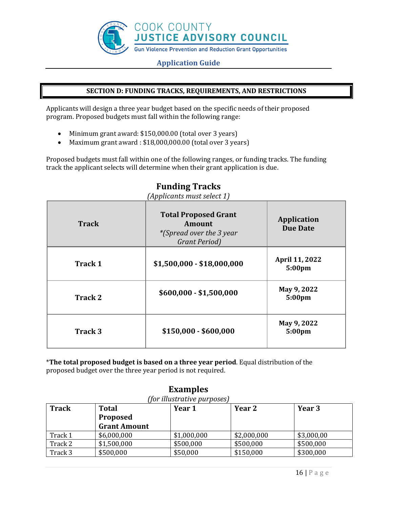

# **SECTION D: FUNDING TRACKS, REQUIREMENTS, AND RESTRICTIONS**

Applicants will design a three year budget based on the specific needs of their proposed program. Proposed budgets must fall within the following range:

- Minimum grant award: \$150,000.00 (total over 3 years)
- Maximum grant award : \$18,000,000.00 (total over 3 years)

Proposed budgets must fall within one of the following ranges, or funding tracks. The funding track the applicant selects will determine when their grant application is due.

| <b>Track</b>   | <b>Total Proposed Grant</b><br>Amount<br><i>*</i> (Spread over the 3 year)<br>Grant Period) | <b>Application</b><br><b>Due Date</b> |
|----------------|---------------------------------------------------------------------------------------------|---------------------------------------|
| <b>Track 1</b> | $$1,500,000 - $18,000,000$                                                                  | <b>April 11, 2022</b><br>5:00pm       |
| <b>Track 2</b> | $$600,000 - $1,500,000$                                                                     | May 9, 2022<br>5:00pm                 |
| Track 3        | $$150,000 - $600,000$                                                                       | May 9, 2022<br>5:00 <sub>pm</sub>     |

# **Funding Tracks**

*(Applicants must select 1)*

\***The total proposed budget is based on a three year period**. Equal distribution of the proposed budget over the three year period is not required.

| (for illustrative purposes) |                     |             |             |            |
|-----------------------------|---------------------|-------------|-------------|------------|
| <b>Track</b>                | <b>Total</b>        | Year 1      | Year 2      | Year 3     |
|                             | Proposed            |             |             |            |
|                             | <b>Grant Amount</b> |             |             |            |
| Track 1                     | \$6,000,000         | \$1,000,000 | \$2,000,000 | \$3,000,00 |
| Track 2                     | \$1,500,000         | \$500,000   | \$500,000   | \$500,000  |
| Track 3                     | \$500,000           | \$50,000    | \$150,000   | \$300,000  |

# **Examples**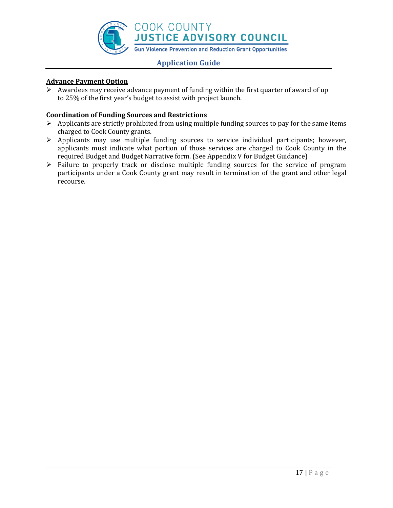

# **Advance Payment Option**

➢ Awardees may receive advance payment of funding within the first quarter of award of up to 25% of the first year's budget to assist with project launch.

# **Coordination of Funding Sources and Restrictions**

- $\triangleright$  Applicants are strictly prohibited from using multiple funding sources to pay for the same items charged to Cook County grants.
- ➢ Applicants may use multiple funding sources to service individual participants; however, applicants must indicate what portion of those services are charged to Cook County in the required Budget and Budget Narrative form. (See Appendix V for Budget Guidance)
- ➢ Failure to properly track or disclose multiple funding sources for the service of program participants under a Cook County grant may result in termination of the grant and other legal recourse.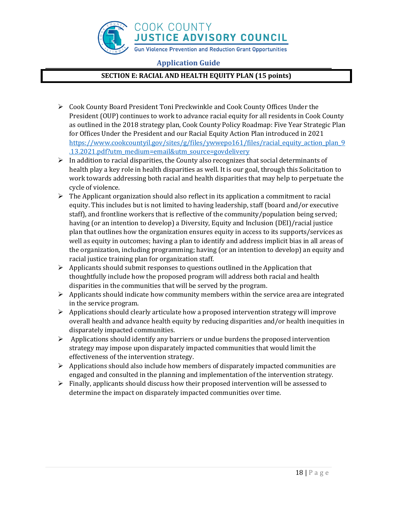

# **SECTION E: RACIAL AND HEALTH EQUITY PLAN (15 points)**

- ➢ Cook County Board President Toni Preckwinkle and Cook County Offices Under the President (OUP) continues to work to advance racial equity for all residents in Cook County as outlined in the 2018 strategy plan, Cook County Policy Roadmap: Five Year Strategic Plan for Offices Under the President and our Racial Equity Action Plan introduced in 2021 [https://www.cookcountyil.gov/sites/g/files/ywwepo161/files/racial\\_equity\\_action\\_plan\\_9](https://www.cookcountyil.gov/sites/g/files/ywwepo161/files/racial_equity_action_plan_9.13.2021.pdf?utm_medium=email&utm_source=govdelivery) [.13.2021.pdf?utm\\_medium=email&utm\\_source=govdelivery](https://www.cookcountyil.gov/sites/g/files/ywwepo161/files/racial_equity_action_plan_9.13.2021.pdf?utm_medium=email&utm_source=govdelivery)
- $\triangleright$  In addition to racial disparities, the County also recognizes that social determinants of health play a key role in health disparities as well. It is our goal, through this Solicitation to work towards addressing both racial and health disparities that may help to perpetuate the cycle of violence.
- $\triangleright$  The Applicant organization should also reflect in its application a commitment to racial equity. This includes but is not limited to having leadership, staff (board and/or executive staff), and frontline workers that is reflective of the community/population being served; having (or an intention to develop) a Diversity, Equity and Inclusion (DEI)/racial justice plan that outlines how the organization ensures equity in access to its supports/services as well as equity in outcomes; having a plan to identify and address implicit bias in all areas of the organization, including programming; having (or an intention to develop) an equity and racial justice training plan for organization staff.
- $\triangleright$  Applicants should submit responses to questions outlined in the Application that thoughtfully include how the proposed program will address both racial and health disparities in the communities that will be served by the program.
- $\triangleright$  Applicants should indicate how community members within the service area are integrated in the service program.
- ➢ Applications should clearly articulate how a proposed intervention strategy will improve overall health and advance health equity by reducing disparities and/or health inequities in disparately impacted communities.
- ➢ Applications should identify any barriers or undue burdens the proposed intervention strategy may impose upon disparately impacted communities that would limit the effectiveness of the intervention strategy.
- $\triangleright$  Applications should also include how members of disparately impacted communities are engaged and consulted in the planning and implementation of the intervention strategy.
- $\triangleright$  Finally, applicants should discuss how their proposed intervention will be assessed to determine the impact on disparately impacted communities over time.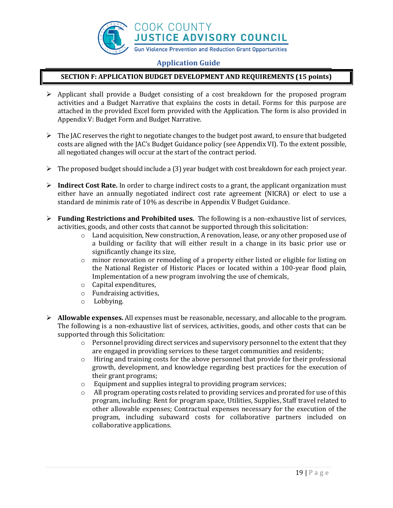

# **SECTION F: APPLICATION BUDGET DEVELOPMENT AND REQUIREMENTS (15 points)**

- $\triangleright$  Applicant shall provide a Budget consisting of a cost breakdown for the proposed program activities and a Budget Narrative that explains the costs in detail. Forms for this purpose are attached in the provided Excel form provided with the Application. The form is also provided in Appendix V: Budget Form and Budget Narrative.
- $\triangleright$  The JAC reserves the right to negotiate changes to the budget post award, to ensure that budgeted costs are aligned with the JAC's Budget Guidance policy (see Appendix VI). To the extent possible, all negotiated changes will occur at the start of the contract period.
- ➢ The proposed budget should include a (3) year budget with cost breakdown for each project year.
- ➢ **Indirect Cost Rate.** In order to charge indirect costs to a grant, the applicant organization must either have an annually negotiated indirect cost rate agreement (NICRA) or elect to use a standard de minimis rate of 10% as describe in Appendix V Budget Guidance.
- ➢ **Funding Restrictions and Prohibited uses.** The following is a non-exhaustive list of services, activities, goods, and other costs that cannot be supported through this solicitation:
	- $\circ$  Land acquisition, New construction, A renovation, lease, or any other proposed use of a building or facility that will either result in a change in its basic prior use or significantly change its size,
	- o minor renovation or remodeling of a property either listed or eligible for listing on the National Register of Historic Places or located within a 100-year flood plain, Implementation of a new program involving the use of chemicals,
	- o Capital expenditures,
	- o Fundraising activities,
	- o Lobbying.
- ➢ **Allowable expenses.** All expenses must be reasonable, necessary, and allocable to the program. The following is a non-exhaustive list of services, activities, goods, and other costs that can be supported through this Solicitation:
	- $\circ$  Personnel providing direct services and supervisory personnel to the extent that they are engaged in providing services to these target communities and residents;
	- $\circ$  Hiring and training costs for the above personnel that provide for their professional growth, development, and knowledge regarding best practices for the execution of their grant programs;
	- o Equipment and supplies integral to providing program services;
	- $\circ$  All program operating costs related to providing services and prorated for use of this program, including: Rent for program space, Utilities, Supplies, Staff travel related to other allowable expenses; Contractual expenses necessary for the execution of the program, including subaward costs for collaborative partners included on collaborative applications.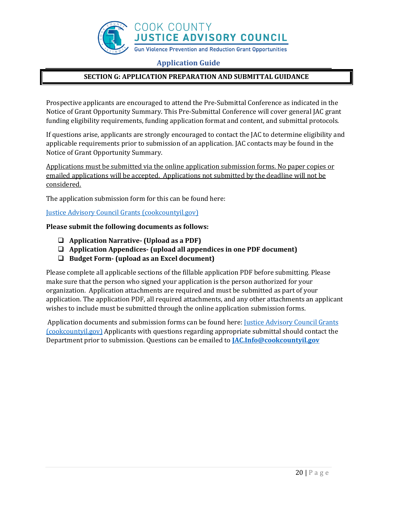

# **SECTION G: APPLICATION PREPARATION AND SUBMITTAL GUIDANCE**

Prospective applicants are encouraged to attend the Pre-Submittal Conference as indicated in the Notice of Grant Opportunity Summary. This Pre-Submittal Conference will cover general JAC grant funding eligibility requirements, funding application format and content, and submittal protocols.

If questions arise, applicants are strongly encouraged to contact the JAC to determine eligibility and applicable requirements prior to submission of an application. JAC contacts may be found in the Notice of Grant Opportunity Summary.

Applications must be submitted via the online application submission forms. No paper copies or emailed applications will be accepted. Applications not submitted by the deadline will not be considered.

The application submission form for this can be found here:

[Justice Advisory Council Grants \(cookcountyil.gov\)](https://www.cookcountyil.gov/JACGrants)

### **Please submit the following documents as follows:**

- ❑ **Application Narrative- (Upload as a PDF)**
- ❑ **Application Appendices- (upload all appendices in one PDF document)**
- ❑ **Budget Form- (upload as an Excel document)**

Please complete all applicable sections of the fillable application PDF before submitting. Please make sure that the person who signed your application is the person authorized for your organization. Application attachments are required and must be submitted as part of your application. The application PDF, all required attachments, and any other attachments an applicant wishes to include must be submitted through the online application submission forms.

Application documents and submission forms can be found here[: Justice Advisory Council Grants](https://www.cookcountyil.gov/JACGrants)  [\(cookcountyil.gov\)](https://www.cookcountyil.gov/JACGrants) Applicants with questions regarding appropriate submittal should contact the Department prior to submission. Questions can be emailed to **[JAC.Info@cookcountyil.gov](mailto:JAC.Info@cookcountyil.gov)**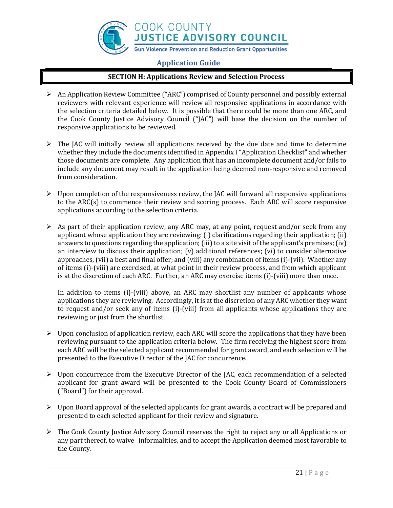

### **SECTION H: Applications Review and Selection Process**

- ➢ An Application Review Committee ("ARC") comprised of County personnel and possibly external reviewers with relevant experience will review all responsive applications in accordance with the selection criteria detailed below. It is possible that there could be more than one ARC, and the Cook County Justice Advisory Council ("JAC") will base the decision on the number of responsive applications to be reviewed.
- ➢ The JAC will initially review all applications received by the due date and time to determine whether they include the documents identified in Appendix I "Application Checklist" and whether those documents are complete. Any application that has an incomplete document and/or fails to include any document may result in the application being deemed non-responsive and removed from consideration.
- $\triangleright$  Upon completion of the responsiveness review, the JAC will forward all responsive applications to the ARC(s) to commence their review and scoring process. Each ARC will score responsive applications according to the selection criteria.
- $\triangleright$  As part of their application review, any ARC may, at any point, request and/or seek from any applicant whose application they are reviewing: (i) clarifications regarding their application; (ii) answers to questions regarding the application; (iii) to a site visit of the applicant's premises; (iv) an interview to discuss their application; (v) additional references; (vi) to consider alternative approaches, (vii) a best and final offer; and (viii) any combination of items (i)-(vii). Whether any of items (i)-(viii) are exercised, at what point in their review process, and from which applicant is at the discretion of each ARC. Further, an ARC may exercise items (i)-(viii) more than once.

In addition to items (i)-(viii) above, an ARC may shortlist any number of applicants whose applications they are reviewing. Accordingly, it is at the discretion of any ARC whether they want to request and/or seek any of items (i)-(viii) from all applicants whose applications they are reviewing or just from the shortlist.

- $\triangleright$  Upon conclusion of application review, each ARC will score the applications that they have been reviewing pursuant to the application criteria below. The firm receiving the highest score from each ARC will be the selected applicant recommended for grant award, and each selection will be presented to the Executive Director of the JAC for concurrence.
- $\triangleright$  Upon concurrence from the Executive Director of the JAC, each recommendation of a selected applicant for grant award will be presented to the Cook County Board of Commissioners ("Board") for their approval.
- $\triangleright$  Upon Board approval of the selected applicants for grant awards, a contract will be prepared and presented to each selected applicant for their review and signature.
- $\triangleright$  The Cook County Justice Advisory Council reserves the right to reject any or all Applications or any part thereof, to waive informalities, and to accept the Application deemed most favorable to the County.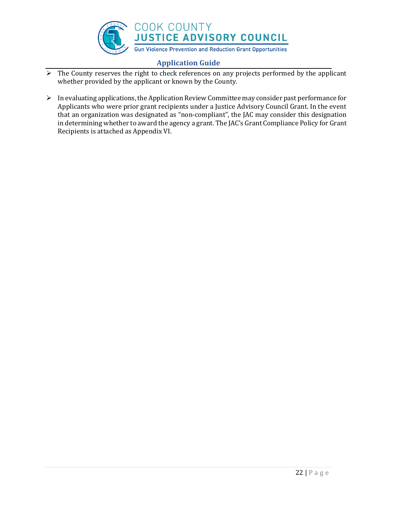

- $\triangleright$  The County reserves the right to check references on any projects performed by the applicant whether provided by the applicant or known by the County.
- $\triangleright$  In evaluating applications, the Application Review Committee may consider past performance for Applicants who were prior grant recipients under a Justice Advisory Council Grant. In the event that an organization was designated as "non-compliant", the JAC may consider this designation in determining whether to award the agency a grant. The JAC's Grant Compliance Policy for Grant Recipients is attached as Appendix VI.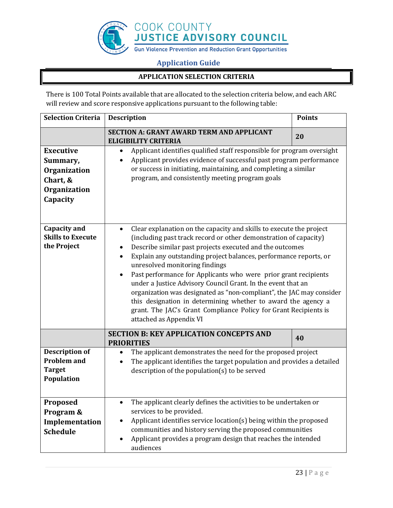

# **APPLICATION SELECTION CRITERIA**

There is 100 Total Points available that are allocated to the selection criteria below, and each ARC will review and score responsive applications pursuant to the following table:

| <b>Selection Criteria</b>                                                            | <b>Description</b>                                                                                                                                                                                                                                                                                                                                                                                                                                                                                                                                                                                                                                                                                 | <b>Points</b> |
|--------------------------------------------------------------------------------------|----------------------------------------------------------------------------------------------------------------------------------------------------------------------------------------------------------------------------------------------------------------------------------------------------------------------------------------------------------------------------------------------------------------------------------------------------------------------------------------------------------------------------------------------------------------------------------------------------------------------------------------------------------------------------------------------------|---------------|
|                                                                                      | <b>SECTION A: GRANT AWARD TERM AND APPLICANT</b><br><b>ELIGIBILITY CRITERIA</b>                                                                                                                                                                                                                                                                                                                                                                                                                                                                                                                                                                                                                    | 20            |
| <b>Executive</b><br>Summary,<br>Organization<br>Chart, &<br>Organization<br>Capacity | Applicant identifies qualified staff responsible for program oversight<br>$\bullet$<br>Applicant provides evidence of successful past program performance<br>or success in initiating, maintaining, and completing a similar<br>program, and consistently meeting program goals                                                                                                                                                                                                                                                                                                                                                                                                                    |               |
| <b>Capacity and</b><br><b>Skills to Execute</b><br>the Project                       | Clear explanation on the capacity and skills to execute the project<br>$\bullet$<br>(including past track record or other demonstration of capacity)<br>Describe similar past projects executed and the outcomes<br>Explain any outstanding project balances, performance reports, or<br>unresolved monitoring findings<br>Past performance for Applicants who were prior grant recipients<br>under a Justice Advisory Council Grant. In the event that an<br>organization was designated as "non-compliant", the JAC may consider<br>this designation in determining whether to award the agency a<br>grant. The JAC's Grant Compliance Policy for Grant Recipients is<br>attached as Appendix VI |               |
|                                                                                      | <b>SECTION B: KEY APPLICATION CONCEPTS AND</b><br><b>PRIORITIES</b>                                                                                                                                                                                                                                                                                                                                                                                                                                                                                                                                                                                                                                | 40            |
| <b>Description of</b><br><b>Problem and</b><br><b>Target</b><br>Population           | The applicant demonstrates the need for the proposed project<br>The applicant identifies the target population and provides a detailed<br>description of the population(s) to be served                                                                                                                                                                                                                                                                                                                                                                                                                                                                                                            |               |
| Proposed<br>Program &<br>Implementation<br><b>Schedule</b>                           | The applicant clearly defines the activities to be undertaken or<br>services to be provided.<br>Applicant identifies service location(s) being within the proposed<br>communities and history serving the proposed communities<br>Applicant provides a program design that reaches the intended<br>audiences                                                                                                                                                                                                                                                                                                                                                                                       |               |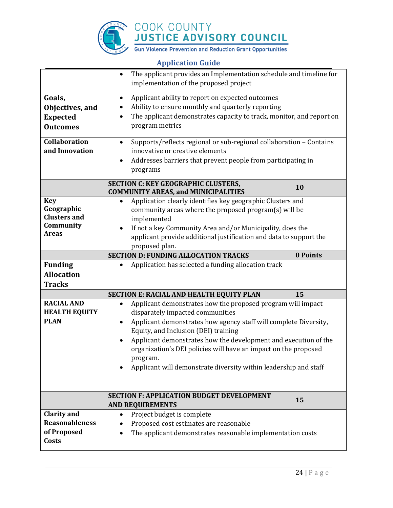

|                                                                              | The applicant provides an Implementation schedule and timeline for<br>$\bullet$<br>implementation of the proposed project                                                                                                                                                                                                                                                                                                                      |          |
|------------------------------------------------------------------------------|------------------------------------------------------------------------------------------------------------------------------------------------------------------------------------------------------------------------------------------------------------------------------------------------------------------------------------------------------------------------------------------------------------------------------------------------|----------|
| Goals,<br>Objectives, and<br><b>Expected</b><br><b>Outcomes</b>              | Applicant ability to report on expected outcomes<br>Ability to ensure monthly and quarterly reporting<br>The applicant demonstrates capacity to track, monitor, and report on<br>program metrics                                                                                                                                                                                                                                               |          |
| Collaboration<br>and Innovation                                              | Supports/reflects regional or sub-regional collaboration - Contains<br>$\bullet$<br>innovative or creative elements<br>Addresses barriers that prevent people from participating in<br>programs                                                                                                                                                                                                                                                |          |
|                                                                              | <b>SECTION C: KEY GEOGRAPHIC CLUSTERS,</b><br><b>COMMUNITY AREAS, and MUNICIPALITIES</b>                                                                                                                                                                                                                                                                                                                                                       | 10       |
| <b>Key</b><br>Geographic<br><b>Clusters and</b><br>Community<br><b>Areas</b> | Application clearly identifies key geographic Clusters and<br>community areas where the proposed program(s) will be<br>implemented<br>If not a key Community Area and/or Municipality, does the<br>applicant provide additional justification and data to support the<br>proposed plan.                                                                                                                                                        |          |
|                                                                              | <b>SECTION D: FUNDING ALLOCATION TRACKS</b>                                                                                                                                                                                                                                                                                                                                                                                                    | 0 Points |
| <b>Funding</b><br><b>Allocation</b><br><b>Tracks</b>                         | Application has selected a funding allocation track                                                                                                                                                                                                                                                                                                                                                                                            |          |
|                                                                              | SECTION E: RACIAL AND HEALTH EQUITY PLAN                                                                                                                                                                                                                                                                                                                                                                                                       | 15       |
| <b>RACIAL AND</b><br><b>HEALTH EQUITY</b><br><b>PLAN</b>                     | Applicant demonstrates how the proposed program will impact<br>$\bullet$<br>disparately impacted communities<br>Applicant demonstrates how agency staff will complete Diversity,<br>Equity, and Inclusion (DEI) training<br>Applicant demonstrates how the development and execution of the<br>organization's DEI policies will have an impact on the proposed<br>program.<br>Applicant will demonstrate diversity within leadership and staff |          |
|                                                                              | <b>SECTION F: APPLICATION BUDGET DEVELOPMENT</b><br><b>AND REQUIREMENTS</b>                                                                                                                                                                                                                                                                                                                                                                    | 15       |
| <b>Clarity and</b><br><b>Reasonableness</b><br>of Proposed<br>Costs          | Project budget is complete<br>Proposed cost estimates are reasonable<br>The applicant demonstrates reasonable implementation costs                                                                                                                                                                                                                                                                                                             |          |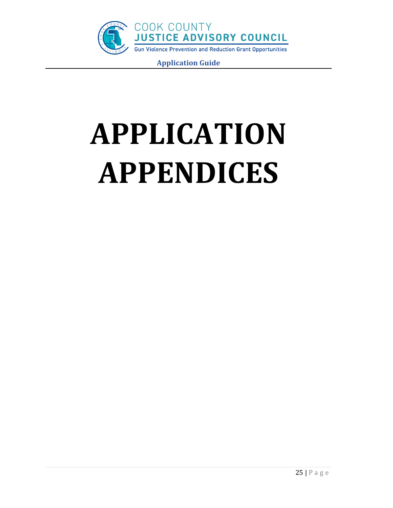

# **APPLICATION APPENDICES**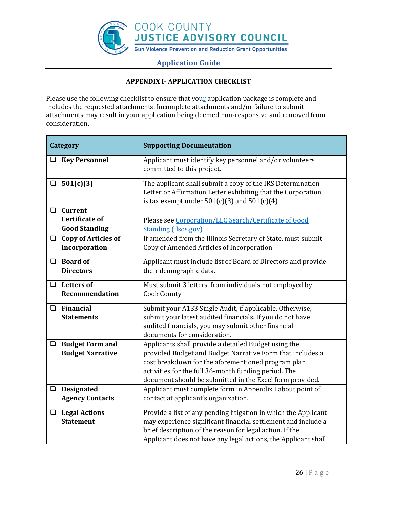

# **APPENDIX I- APPLICATION CHECKLIST**

Please use the following checklist to ensure that your application package is complete and includes the requested attachments. Incomplete attachments and/or failure to submit attachments may result in your application being deemed non-responsive and removed from consideration.

| <b>Category</b>                                                           | <b>Supporting Documentation</b>                                                                                                                                                                                                                                                             |
|---------------------------------------------------------------------------|---------------------------------------------------------------------------------------------------------------------------------------------------------------------------------------------------------------------------------------------------------------------------------------------|
| <b>Key Personnel</b><br>$\Box$                                            | Applicant must identify key personnel and/or volunteers<br>committed to this project.                                                                                                                                                                                                       |
| $\bar{a}$ 501(c)(3)                                                       | The applicant shall submit a copy of the IRS Determination<br>Letter or Affirmation Letter exhibiting that the Corporation<br>is tax exempt under $501(c)(3)$ and $501(c)(4)$                                                                                                               |
| $\Box$<br><b>Current</b><br><b>Certificate of</b><br><b>Good Standing</b> | Please see Corporation/LLC Search/Certificate of Good<br><b>Standing (ilsos.gov)</b>                                                                                                                                                                                                        |
| <b>Copy of Articles of</b><br>$\Box$<br>Incorporation                     | If amended from the Illinois Secretary of State, must submit<br>Copy of Amended Articles of Incorporation                                                                                                                                                                                   |
| $\Box$ Board of<br><b>Directors</b>                                       | Applicant must include list of Board of Directors and provide<br>their demographic data.                                                                                                                                                                                                    |
| <b>Letters of</b><br>◻<br><b>Recommendation</b>                           | Must submit 3 letters, from individuals not employed by<br><b>Cook County</b>                                                                                                                                                                                                               |
| Financial<br>$\Box$<br><b>Statements</b>                                  | Submit your A133 Single Audit, if applicable. Otherwise,<br>submit your latest audited financials. If you do not have<br>audited financials, you may submit other financial<br>documents for consideration.                                                                                 |
| <b>Budget Form and</b><br>$\Box$<br><b>Budget Narrative</b>               | Applicants shall provide a detailed Budget using the<br>provided Budget and Budget Narrative Form that includes a<br>cost breakdown for the aforementioned program plan<br>activities for the full 36-month funding period. The<br>document should be submitted in the Excel form provided. |
| $\Box$ Designated<br><b>Agency Contacts</b>                               | Applicant must complete form in Appendix I about point of<br>contact at applicant's organization.                                                                                                                                                                                           |
| <b>Legal Actions</b><br>u.<br><b>Statement</b>                            | Provide a list of any pending litigation in which the Applicant<br>may experience significant financial settlement and include a<br>brief description of the reason for legal action. If the<br>Applicant does not have any legal actions, the Applicant shall                              |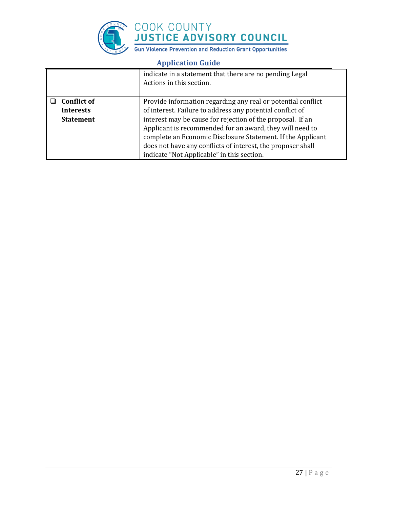

|                                                            | indicate in a statement that there are no pending Legal<br>Actions in this section.                                                                                                                                                                                                                                                                                                                                             |
|------------------------------------------------------------|---------------------------------------------------------------------------------------------------------------------------------------------------------------------------------------------------------------------------------------------------------------------------------------------------------------------------------------------------------------------------------------------------------------------------------|
| <b>Conflict of</b><br><b>Interests</b><br><b>Statement</b> | Provide information regarding any real or potential conflict<br>of interest. Failure to address any potential conflict of<br>interest may be cause for rejection of the proposal. If an<br>Applicant is recommended for an award, they will need to<br>complete an Economic Disclosure Statement. If the Applicant<br>does not have any conflicts of interest, the proposer shall<br>indicate "Not Applicable" in this section. |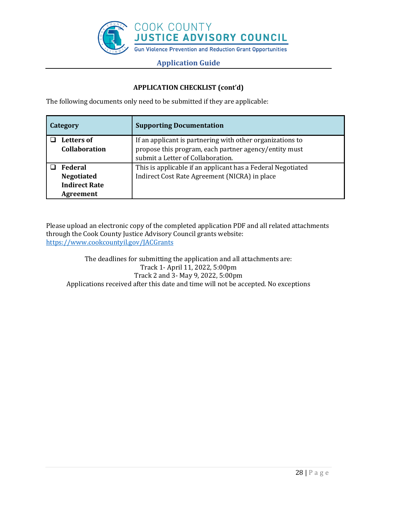

# **APPLICATION CHECKLIST (cont'd)**

The following documents only need to be submitted if they are applicable:

| Category             | <b>Supporting Documentation</b>                             |
|----------------------|-------------------------------------------------------------|
| <b>Letters of</b>    | If an applicant is partnering with other organizations to   |
| <b>Collaboration</b> | propose this program, each partner agency/entity must       |
|                      | submit a Letter of Collaboration.                           |
| <b>Federal</b>       | This is applicable if an applicant has a Federal Negotiated |
| <b>Negotiated</b>    | Indirect Cost Rate Agreement (NICRA) in place               |
| <b>Indirect Rate</b> |                                                             |
| Agreement            |                                                             |

Please upload an electronic copy of the completed application PDF and all related attachments through the Cook County Justice Advisory Council grants website: <https://www.cookcountyil.gov/JACGrants>

The deadlines for submitting the application and all attachments are: Track 1- April 11, 2022, 5:00pm Track 2 and 3- May 9, 2022, 5:00pm Applications received after this date and time will not be accepted. No exceptions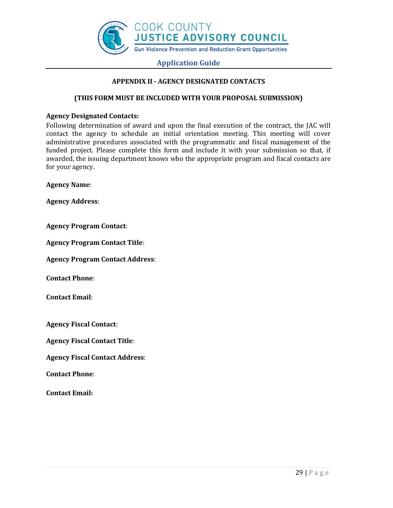

### **APPENDIX II - AGENCY DESIGNATED CONTACTS**

#### **(THIS FORM MUST BE INCLUDED WITH YOUR PROPOSAL SUBMISSION)**

#### **Agency Designated Contacts:**

Following determination of award and upon the final execution of the contract, the JAC will contact the agency to schedule an initial orientation meeting. This meeting will cover administrative procedures associated with the programmatic and fiscal management of the funded project. Please complete this form and include it with your submission so that, if awarded, the issuing department knows who the appropriate program and fiscal contacts are for your agency.

**Agency Name**:

**Agency Address**:

**Agency Program Contact**:

**Agency Program Contact Title**:

**Agency Program Contact Address**:

**Contact Phone**:

**Contact Email**:

**Agency Fiscal Contact**:

**Agency Fiscal Contact Title**:

**Agency Fiscal Contact Address**:

**Contact Phone**:

**Contact Email:**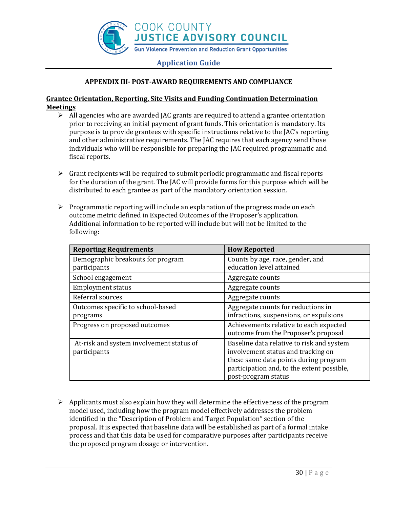

# **APPENDIX III- POST-AWARD REQUIREMENTS AND COMPLIANCE**

# **Grantee Orientation, Reporting, Site Visits and Funding Continuation Determination Meetings**

- $\triangleright$  All agencies who are awarded JAC grants are required to attend a grantee orientation prior to receiving an initial payment of grant funds. This orientation is mandatory. Its purpose is to provide grantees with specific instructions relative to the JAC's reporting and other administrative requirements. The JAC requires that each agency send those individuals who will be responsible for preparing the JAC required programmatic and fiscal reports.
- $\triangleright$  Grant recipients will be required to submit periodic programmatic and fiscal reports for the duration of the grant. The JAC will provide forms for this purpose which will be distributed to each grantee as part of the mandatory orientation session.
- $\triangleright$  Programmatic reporting will include an explanation of the progress made on each outcome metric defined in Expected Outcomes of the Proposer's application. Additional information to be reported will include but will not be limited to the following:

| <b>Reporting Requirements</b>            | <b>How Reported</b>                        |
|------------------------------------------|--------------------------------------------|
| Demographic breakouts for program        | Counts by age, race, gender, and           |
| participants                             | education level attained                   |
| School engagement                        | Aggregate counts                           |
| <b>Employment status</b>                 | Aggregate counts                           |
| Referral sources                         | Aggregate counts                           |
| Outcomes specific to school-based        | Aggregate counts for reductions in         |
| programs                                 | infractions, suspensions, or expulsions    |
| Progress on proposed outcomes            | Achievements relative to each expected     |
|                                          | outcome from the Proposer's proposal       |
| At-risk and system involvement status of | Baseline data relative to risk and system  |
| participants                             | involvement status and tracking on         |
|                                          | these same data points during program      |
|                                          | participation and, to the extent possible, |
|                                          | post-program status                        |

➢ Applicants must also explain how they will determine the effectiveness of the program model used, including how the program model effectively addresses the problem identified in the "Description of Problem and Target Population" section of the proposal. It is expected that baseline data will be established as part of a formal intake process and that this data be used for comparative purposes after participants receive the proposed program dosage or intervention.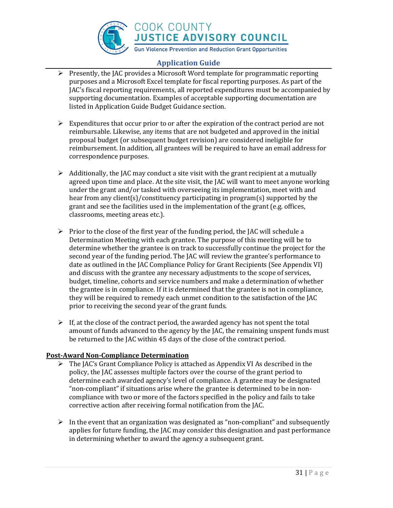

COOK COUNTY<br>JUSTICE ADVISORY COUNCIL

# **Gun Violence Prevention and Reduction Grant Opportunities**

# **Application Guide**

- ➢ Presently, the JAC provides a Microsoft Word template for programmatic reporting purposes and a Microsoft Excel template for fiscal reporting purposes. As part of the JAC's fiscal reporting requirements, all reported expenditures must be accompanied by supporting documentation. Examples of acceptable supporting documentation are listed in Application Guide Budget Guidance section.
- $\triangleright$  Expenditures that occur prior to or after the expiration of the contract period are not reimbursable. Likewise, any items that are not budgeted and approved in the initial proposal budget (or subsequent budget revision) are considered ineligible for reimbursement. In addition, all grantees will be required to have an email address for correspondence purposes.
- $\triangleright$  Additionally, the JAC may conduct a site visit with the grant recipient at a mutually agreed upon time and place. At the site visit, the JAC will want to meet anyone working under the grant and/or tasked with overseeing its implementation, meet with and hear from any client(s)/constituency participating in program(s) supported by the grant and see the facilities used in the implementation of the grant (e.g. offices, classrooms, meeting areas etc.).
- $\triangleright$  Prior to the close of the first year of the funding period, the JAC will schedule a Determination Meeting with each grantee. The purpose of this meeting will be to determine whether the grantee is on track to successfully continue the project for the second year of the funding period. The JAC will review the grantee's performance to date as outlined in the JAC Compliance Policy for Grant Recipients (See Appendix VI) and discuss with the grantee any necessary adjustments to the scope of services, budget, timeline, cohorts and service numbers and make a determination of whether the grantee is in compliance. If it is determined that the grantee is not in compliance, they will be required to remedy each unmet condition to the satisfaction of the JAC prior to receiving the second year of the grant funds.
- $\triangleright$  If, at the close of the contract period, the awarded agency has not spent the total amount of funds advanced to the agency by the JAC, the remaining unspent funds must be returned to the JAC within 45 days of the close of the contract period.

# **Post-Award Non-Compliance Determination**

- $\triangleright$  The JAC's Grant Compliance Policy is attached as Appendix VI As described in the policy, the JAC assesses multiple factors over the course of the grant period to determine each awarded agency's level of compliance. A grantee may be designated "non-compliant" if situations arise where the grantee is determined to be in noncompliance with two or more of the factors specified in the policy and fails to take corrective action after receiving formal notification from the JAC.
- $\triangleright$  In the event that an organization was designated as "non-compliant" and subsequently applies for future funding, the JAC may consider this designation and past performance in determining whether to award the agency a subsequent grant.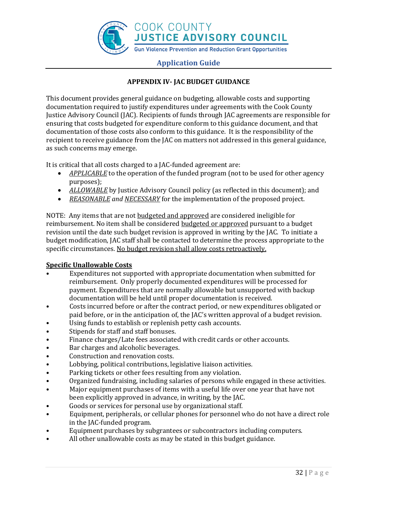

# **APPENDIX IV- JAC BUDGET GUIDANCE**

This document provides general guidance on budgeting, allowable costs and supporting documentation required to justify expenditures under agreements with the Cook County Justice Advisory Council (JAC). Recipients of funds through JAC agreements are responsible for ensuring that costs budgeted for expenditure conform to this guidance document, and that documentation of those costs also conform to this guidance. It is the responsibility of the recipient to receive guidance from the JAC on matters not addressed in this general guidance, as such concerns may emerge.

It is critical that all costs charged to a JAC-funded agreement are:

- *APPLICABLE* to the operation of the funded program (not to be used for other agency purposes);
- *ALLOWABLE* by Justice Advisory Council policy (as reflected in this document); and
- *REASONABLE and NECESSARY* for the implementation of the proposed project.

NOTE: Any items that are not budgeted and approved are considered ineligible for reimbursement. No item shall be considered budgeted or approved pursuant to a budget revision until the date such budget revision is approved in writing by the JAC. To initiate a budget modification, JAC staff shall be contacted to determine the process appropriate to the specific circumstances. No budget revision shall allow costs retroactively.

# **Specific Unallowable Costs**

- Expenditures not supported with appropriate documentation when submitted for reimbursement. Only properly documented expenditures will be processed for payment. Expenditures that are normally allowable but unsupported with backup documentation will be held until proper documentation is received.
- Costs incurred before or after the contract period, or new expenditures obligated or paid before, or in the anticipation of, the JAC's written approval of a budget revision.
- Using funds to establish or replenish petty cash accounts.
- Stipends for staff and staff bonuses.
- Finance charges/Late fees associated with credit cards or other accounts.
- Bar charges and alcoholic beverages.
- Construction and renovation costs.
- Lobbying, political contributions, legislative liaison activities.
- Parking tickets or other fees resulting from any violation.
- Organized fundraising, including salaries of persons while engaged in these activities.
- Major equipment purchases of items with a useful life over one year that have not been explicitly approved in advance, in writing, by the JAC.
- Goods or services for personal use by organizational staff.
- Equipment, peripherals, or cellular phones for personnel who do not have a direct role in the JAC-funded program.
- Equipment purchases by subgrantees or subcontractors including computers.
- All other unallowable costs as may be stated in this budget guidance.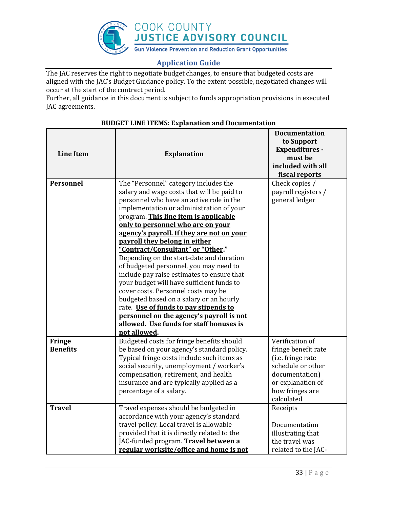

The JAC reserves the right to negotiate budget changes, to ensure that budgeted costs are aligned with the JAC's Budget Guidance policy. To the extent possible, negotiated changes will occur at the start of the contract period.

Further, all guidance in this document is subject to funds appropriation provisions in executed JAC agreements.

|                  |                                             | <b>Documentation</b><br>to Support |
|------------------|---------------------------------------------|------------------------------------|
| <b>Line Item</b> | <b>Explanation</b>                          | <b>Expenditures -</b><br>must be   |
|                  |                                             | included with all                  |
|                  |                                             | fiscal reports                     |
| <b>Personnel</b> | The "Personnel" category includes the       | Check copies /                     |
|                  | salary and wage costs that will be paid to  | payroll registers /                |
|                  | personnel who have an active role in the    | general ledger                     |
|                  | implementation or administration of your    |                                    |
|                  | program. This line item is applicable       |                                    |
|                  | only to personnel who are on your           |                                    |
|                  | agency's payroll. If they are not on your   |                                    |
|                  | payroll they belong in either               |                                    |
|                  | "Contract/Consultant" or "Other."           |                                    |
|                  | Depending on the start-date and duration    |                                    |
|                  | of budgeted personnel, you may need to      |                                    |
|                  | include pay raise estimates to ensure that  |                                    |
|                  | your budget will have sufficient funds to   |                                    |
|                  | cover costs. Personnel costs may be         |                                    |
|                  | budgeted based on a salary or an hourly     |                                    |
|                  | rate. Use of funds to pay stipends to       |                                    |
|                  | personnel on the agency's payroll is not    |                                    |
|                  | allowed. Use funds for staff bonuses is     |                                    |
|                  | not allowed.                                |                                    |
| Fringe           | Budgeted costs for fringe benefits should   | Verification of                    |
| <b>Benefits</b>  | be based on your agency's standard policy.  | fringe benefit rate                |
|                  | Typical fringe costs include such items as  | (i.e. fringe rate                  |
|                  | social security, unemployment / worker's    | schedule or other                  |
|                  | compensation, retirement, and health        | documentation)                     |
|                  | insurance and are typically applied as a    | or explanation of                  |
|                  | percentage of a salary.                     | how fringes are                    |
|                  |                                             | calculated                         |
| <b>Travel</b>    | Travel expenses should be budgeted in       | Receipts                           |
|                  | accordance with your agency's standard      |                                    |
|                  | travel policy. Local travel is allowable    | Documentation                      |
|                  | provided that it is directly related to the | illustrating that                  |
|                  | JAC-funded program. Travel between a        | the travel was                     |
|                  | regular worksite/office and home is not     | related to the JAC-                |

# **BUDGET LINE ITEMS: Explanation and Documentation**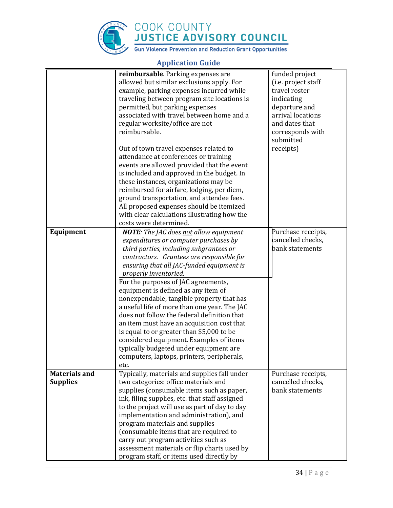

|                                         | reimbursable. Parking expenses are<br>allowed but similar exclusions apply. For<br>example, parking expenses incurred while<br>traveling between program site locations is<br>permitted, but parking expenses<br>associated with travel between home and a<br>regular worksite/office are not<br>reimbursable.<br>Out of town travel expenses related to                                                                                                                                                                                                                                                                                                                                                             | funded project<br>(i.e. project staff<br>travel roster<br>indicating<br>departure and<br>arrival locations<br>and dates that<br>corresponds with<br>submitted<br>receipts) |
|-----------------------------------------|----------------------------------------------------------------------------------------------------------------------------------------------------------------------------------------------------------------------------------------------------------------------------------------------------------------------------------------------------------------------------------------------------------------------------------------------------------------------------------------------------------------------------------------------------------------------------------------------------------------------------------------------------------------------------------------------------------------------|----------------------------------------------------------------------------------------------------------------------------------------------------------------------------|
|                                         | attendance at conferences or training<br>events are allowed provided that the event<br>is included and approved in the budget. In<br>these instances, organizations may be<br>reimbursed for airfare, lodging, per diem,<br>ground transportation, and attendee fees.<br>All proposed expenses should be itemized<br>with clear calculations illustrating how the<br>costs were determined.                                                                                                                                                                                                                                                                                                                          |                                                                                                                                                                            |
| Equipment                               | <b>NOTE:</b> The JAC does not allow equipment<br>expenditures or computer purchases by<br>third parties, including subgrantees or<br>contractors. Grantees are responsible for<br>ensuring that all JAC-funded equipment is<br>properly inventoried.<br>For the purposes of JAC agreements,<br>equipment is defined as any item of<br>nonexpendable, tangible property that has<br>a useful life of more than one year. The JAC<br>does not follow the federal definition that<br>an item must have an acquisition cost that<br>is equal to or greater than \$5,000 to be<br>considered equipment. Examples of items<br>typically budgeted under equipment are<br>computers, laptops, printers, peripherals,<br>etc. | Purchase receipts,<br>cancelled checks,<br>bank statements                                                                                                                 |
| <b>Materials and</b><br><b>Supplies</b> | Typically, materials and supplies fall under<br>two categories: office materials and<br>supplies (consumable items such as paper,<br>ink, filing supplies, etc. that staff assigned<br>to the project will use as part of day to day<br>implementation and administration), and<br>program materials and supplies<br>(consumable items that are required to<br>carry out program activities such as<br>assessment materials or flip charts used by<br>program staff, or items used directly by                                                                                                                                                                                                                       | Purchase receipts,<br>cancelled checks,<br>bank statements                                                                                                                 |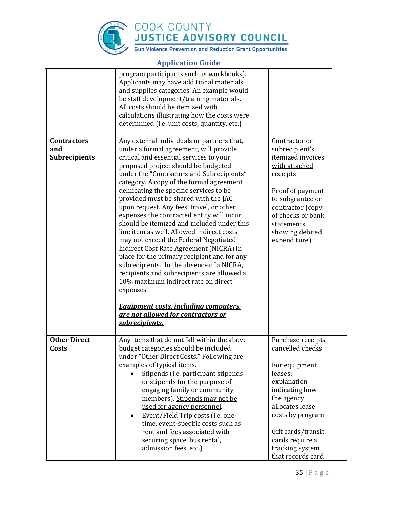

|                                                   | program participants such as workbooks).<br>Applicants may have additional materials<br>and supplies categories. An example would<br>be staff development/training materials.<br>All costs should be itemized with<br>calculations illustrating how the costs were<br>determined (i.e. unit costs, quantity, etc.)                                                                                                                                                                                                                                                                                                                                                                                                                                                                                                                                                                                                               |                                                                                                                                                                                                                                           |
|---------------------------------------------------|----------------------------------------------------------------------------------------------------------------------------------------------------------------------------------------------------------------------------------------------------------------------------------------------------------------------------------------------------------------------------------------------------------------------------------------------------------------------------------------------------------------------------------------------------------------------------------------------------------------------------------------------------------------------------------------------------------------------------------------------------------------------------------------------------------------------------------------------------------------------------------------------------------------------------------|-------------------------------------------------------------------------------------------------------------------------------------------------------------------------------------------------------------------------------------------|
| <b>Contractors</b><br>and<br><b>Subrecipients</b> | Any external individuals or partners that,<br>under a formal agreement, will provide<br>critical and essential services to your<br>proposed project should be budgeted<br>under the "Contractors and Subrecipients"<br>category. A copy of the formal agreement<br>delineating the specific services to be<br>provided must be shared with the JAC<br>upon request. Any fees, travel, or other<br>expenses the contracted entity will incur<br>should be itemized and included under this<br>line item as well. Allowed indirect costs<br>may not exceed the Federal Negotiated<br>Indirect Cost Rate Agreement (NICRA) in<br>place for the primary recipient and for any<br>subrecipients. In the absence of a NICRA,<br>recipients and subrecipients are allowed a<br>10% maximum indirect rate on direct<br>expenses.<br><b>Equipment costs, including computers,</b><br>are not allowed for contractors or<br>subrecipients. | Contractor or<br>subrecipient's<br>itemized invoices<br>with attached<br>receipts<br>Proof of payment<br>to subgrantee or<br>contractor (copy<br>of checks or bank<br>statements<br>showing debited<br>expenditure)                       |
| <b>Other Direct</b><br>Costs                      | Any items that do not fall within the above<br>budget categories should be included<br>under "Other Direct Costs." Following are<br>examples of typical items.<br>Stipends (i.e. participant stipends<br>or stipends for the purpose of<br>engaging family or community<br>members). Stipends may not be<br>used for agency personnel.<br>Event/Field Trip costs (i.e. one-<br>$\bullet$<br>time, event-specific costs such as<br>rent and fees associated with<br>securing space, bus rental,<br>admission fees, etc.)                                                                                                                                                                                                                                                                                                                                                                                                          | Purchase receipts,<br>cancelled checks<br>For equipment<br>leases:<br>explanation<br>indicating how<br>the agency<br>allocates lease<br>costs by program<br>Gift cards/transit<br>cards require a<br>tracking system<br>that records card |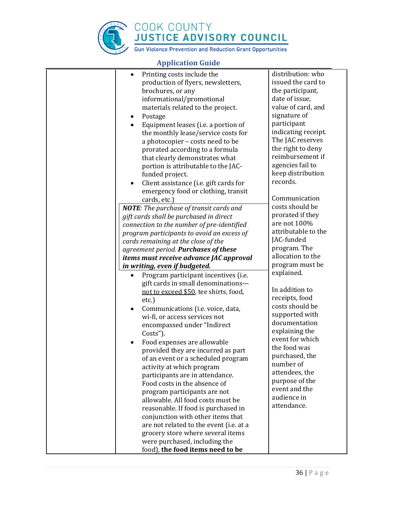

| Printing costs include the<br>$\bullet$                           | distribution: who   |
|-------------------------------------------------------------------|---------------------|
| production of flyers, newsletters,                                | issued the card to  |
| brochures, or any                                                 | the participant,    |
| informational/promotional                                         | date of issue,      |
| materials related to the project.                                 | value of card, and  |
| Postage<br>$\bullet$                                              | signature of        |
| Equipment leases (i.e. a portion of<br>$\bullet$                  | participant         |
| the monthly lease/service costs for                               | indicating receipt. |
| a photocopier - costs need to be                                  | The JAC reserves    |
|                                                                   | the right to deny   |
| prorated according to a formula                                   | reimbursement if    |
| that clearly demonstrates what                                    | agencies fail to    |
| portion is attributable to the JAC-                               | keep distribution   |
| funded project.                                                   | records.            |
| Client assistance (i.e. gift cards for<br>$\bullet$               |                     |
| emergency food or clothing, transit                               |                     |
| cards, etc.)                                                      | Communication       |
| <b>NOTE:</b> The purchase of transit cards and                    | costs should be     |
| gift cards shall be purchased in direct                           | prorated if they    |
| connection to the number of pre-identified                        | are not 100%        |
| program participants to avoid an excess of                        | attributable to the |
| cards remaining at the close of the                               | JAC-funded          |
| agreement period. Purchases of these                              | program. The        |
| items must receive advance JAC approval                           | allocation to the   |
| in writing, even if budgeted.                                     | program must be     |
| Program participant incentives (i.e.<br>$\bullet$                 | explained.          |
| gift cards in small denominations-                                |                     |
| not to exceed \$50, tee shirts, food,                             | In addition to      |
| $etc.$ )                                                          | receipts, food      |
| Communications (i.e. voice, data,<br>$\bullet$                    | costs should be     |
| wi-fi, or access services not                                     | supported with      |
| encompassed under "Indirect                                       | documentation       |
| Costs").                                                          | explaining the      |
| Food expenses are allowable                                       | event for which     |
| provided they are incurred as part                                | the food was        |
| of an event or a scheduled program                                | purchased, the      |
| activity at which program                                         | number of           |
| participants are in attendance.                                   | attendees, the      |
| Food costs in the absence of                                      | purpose of the      |
| program participants are not                                      | event and the       |
| allowable. All food costs must be                                 | audience in         |
|                                                                   | attendance.         |
| reasonable. If food is purchased in                               |                     |
| conjunction with other items that                                 |                     |
| are not related to the event (i.e. at a                           |                     |
| grocery store where several items                                 |                     |
|                                                                   |                     |
| were purchased, including the<br>food), the food items need to be |                     |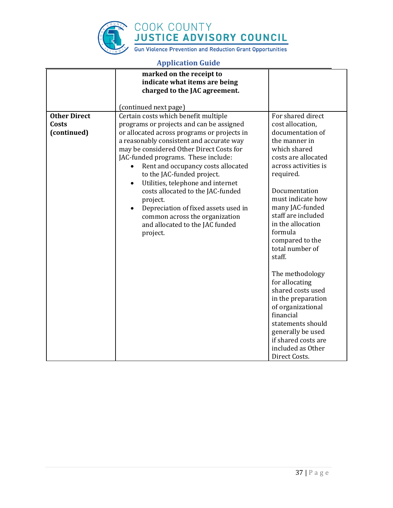

|                                             | marked on the receipt to<br>indicate what items are being                                                                                                                                                                                                                                                                                                                                                                                                                                                                                                                   |                                                                                                                                                                                                                                                                                                                                                                                                                                                              |
|---------------------------------------------|-----------------------------------------------------------------------------------------------------------------------------------------------------------------------------------------------------------------------------------------------------------------------------------------------------------------------------------------------------------------------------------------------------------------------------------------------------------------------------------------------------------------------------------------------------------------------------|--------------------------------------------------------------------------------------------------------------------------------------------------------------------------------------------------------------------------------------------------------------------------------------------------------------------------------------------------------------------------------------------------------------------------------------------------------------|
|                                             | charged to the JAC agreement.                                                                                                                                                                                                                                                                                                                                                                                                                                                                                                                                               |                                                                                                                                                                                                                                                                                                                                                                                                                                                              |
|                                             | (continued next page)                                                                                                                                                                                                                                                                                                                                                                                                                                                                                                                                                       |                                                                                                                                                                                                                                                                                                                                                                                                                                                              |
| <b>Other Direct</b><br>Costs<br>(continued) | Certain costs which benefit multiple<br>programs or projects and can be assigned<br>or allocated across programs or projects in<br>a reasonably consistent and accurate way<br>may be considered Other Direct Costs for<br>JAC-funded programs. These include:<br>Rent and occupancy costs allocated<br>to the JAC-funded project.<br>Utilities, telephone and internet<br>$\bullet$<br>costs allocated to the JAC-funded<br>project.<br>Depreciation of fixed assets used in<br>$\bullet$<br>common across the organization<br>and allocated to the JAC funded<br>project. | For shared direct<br>cost allocation,<br>documentation of<br>the manner in<br>which shared<br>costs are allocated<br>across activities is<br>required.<br>Documentation<br>must indicate how<br>many JAC-funded<br>staff are included<br>in the allocation<br>formula<br>compared to the<br>total number of<br>staff.<br>The methodology<br>for allocating<br>shared costs used<br>in the preparation<br>of organizational<br>financial<br>statements should |
|                                             |                                                                                                                                                                                                                                                                                                                                                                                                                                                                                                                                                                             | generally be used<br>if shared costs are                                                                                                                                                                                                                                                                                                                                                                                                                     |
|                                             |                                                                                                                                                                                                                                                                                                                                                                                                                                                                                                                                                                             | included as Other<br>Direct Costs.                                                                                                                                                                                                                                                                                                                                                                                                                           |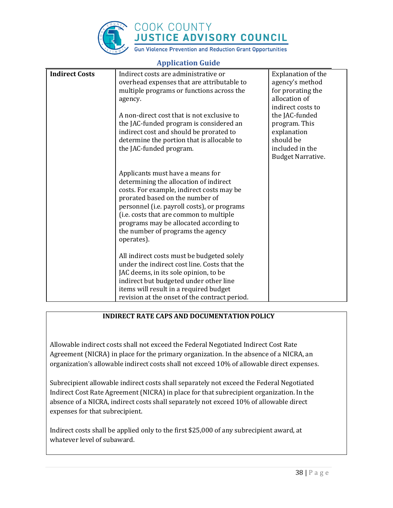

# COOK COUNTY<br>JUSTICE ADVISORY COUNCIL

**Gun Violence Prevention and Reduction Grant Opportunities** 

|                       | <b>Trephreamon Gara</b>                                                                                                                                                                                                                                                                                                                                 |                                                                                                                                                                                                                |
|-----------------------|---------------------------------------------------------------------------------------------------------------------------------------------------------------------------------------------------------------------------------------------------------------------------------------------------------------------------------------------------------|----------------------------------------------------------------------------------------------------------------------------------------------------------------------------------------------------------------|
| <b>Indirect Costs</b> | Indirect costs are administrative or<br>overhead expenses that are attributable to<br>multiple programs or functions across the<br>agency.<br>A non-direct cost that is not exclusive to<br>the JAC-funded program is considered an<br>indirect cost and should be prorated to<br>determine the portion that is allocable to<br>the JAC-funded program. | <b>Explanation of the</b><br>agency's method<br>for prorating the<br>allocation of<br>indirect costs to<br>the JAC-funded<br>program. This<br>explanation<br>should be<br>included in the<br>Budget Narrative. |
|                       | Applicants must have a means for<br>determining the allocation of indirect<br>costs. For example, indirect costs may be<br>prorated based on the number of<br>personnel (i.e. payroll costs), or programs<br>(i.e. costs that are common to multiple<br>programs may be allocated according to<br>the number of programs the agency<br>operates).       |                                                                                                                                                                                                                |
|                       | All indirect costs must be budgeted solely<br>under the indirect cost line. Costs that the<br>JAC deems, in its sole opinion, to be<br>indirect but budgeted under other line<br>items will result in a required budget<br>revision at the onset of the contract period.                                                                                |                                                                                                                                                                                                                |

# **Application Guide**

# **INDIRECT RATE CAPS AND DOCUMENTATION POLICY**

Allowable indirect costs shall not exceed the Federal Negotiated Indirect Cost Rate Agreement (NICRA) in place for the primary organization. In the absence of a NICRA, an organization's allowable indirect costs shall not exceed 10% of allowable direct expenses.

Subrecipient allowable indirect costs shall separately not exceed the Federal Negotiated Indirect Cost Rate Agreement (NICRA) in place for that subrecipient organization. In the absence of a NICRA, indirect costs shall separately not exceed 10% of allowable direct expenses for that subrecipient.

Indirect costs shall be applied only to the first \$25,000 of any subrecipient award, at whatever level of subaward.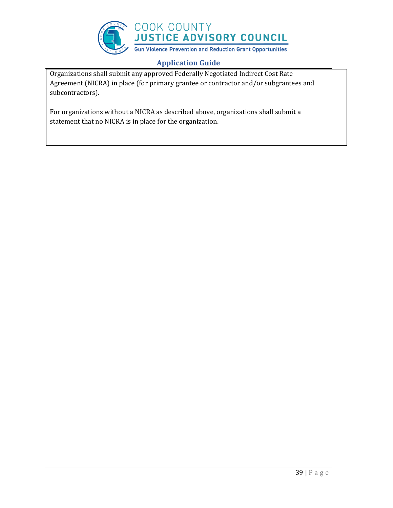

Organizations shall submit any approved Federally Negotiated Indirect Cost Rate Agreement (NICRA) in place (for primary grantee or contractor and/or subgrantees and subcontractors).

For organizations without a NICRA as described above, organizations shall submit a statement that no NICRA is in place for the organization.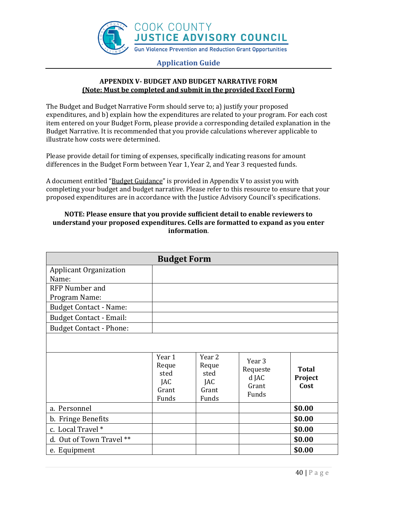

# **APPENDIX V- BUDGET AND BUDGET NARRATIVE FORM (Note: Must be completed and submit in the provided Excel Form)**

The Budget and Budget Narrative Form should serve to; a) justify your proposed expenditures, and b) explain how the expenditures are related to your program. For each cost item entered on your Budget Form, please provide a corresponding detailed explanation in the Budget Narrative. It is recommended that you provide calculations wherever applicable to illustrate how costs were determined.

Please provide detail for timing of expenses, specifically indicating reasons for amount differences in the Budget Form between Year 1, Year 2, and Year 3 requested funds.

A document entitled "Budget Guidance" is provided in Appendix V to assist you with completing your budget and budget narrative. Please refer to this resource to ensure that your proposed expenditures are in accordance with the Justice Advisory Council's specifications.

# **NOTE: Please ensure that you provide sufficient detail to enable reviewers to understand your proposed expenditures. Cells are formatted to expand as you enter information**.

|                                                                                                                                             | <b>Budget Form</b>                               |                                                  |                                                          |                                 |
|---------------------------------------------------------------------------------------------------------------------------------------------|--------------------------------------------------|--------------------------------------------------|----------------------------------------------------------|---------------------------------|
| <b>Applicant Organization</b><br>Name:                                                                                                      |                                                  |                                                  |                                                          |                                 |
| <b>RFP Number and</b><br>Program Name:<br><b>Budget Contact - Name:</b><br><b>Budget Contact - Email:</b><br><b>Budget Contact - Phone:</b> |                                                  |                                                  |                                                          |                                 |
|                                                                                                                                             | Year 1<br>Reque<br>sted<br>JAC<br>Grant<br>Funds | Year 2<br>Reque<br>sted<br>JAC<br>Grant<br>Funds | Year <sub>3</sub><br>Requeste<br>d JAC<br>Grant<br>Funds | <b>Total</b><br>Project<br>Cost |
| a. Personnel                                                                                                                                |                                                  |                                                  |                                                          | \$0.00                          |
| b. Fringe Benefits                                                                                                                          |                                                  |                                                  |                                                          | \$0.00                          |
| c. Local Travel *                                                                                                                           |                                                  |                                                  |                                                          | \$0.00                          |
| d. Out of Town Travel **                                                                                                                    |                                                  |                                                  |                                                          | \$0.00                          |
| e. Equipment                                                                                                                                |                                                  |                                                  |                                                          | \$0.00                          |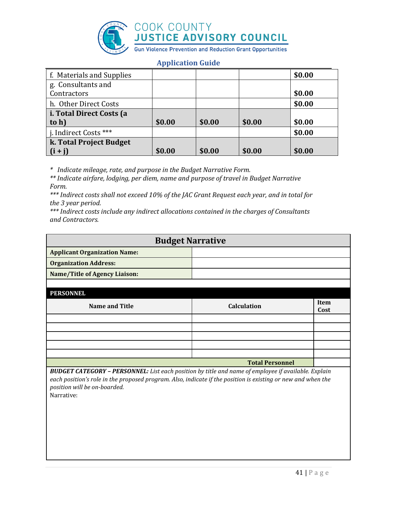

| f. Materials and Supplies |        |        |        | \$0.00 |
|---------------------------|--------|--------|--------|--------|
| g. Consultants and        |        |        |        |        |
| Contractors               |        |        |        | \$0.00 |
| h. Other Direct Costs     |        |        |        | \$0.00 |
| i. Total Direct Costs (a  |        |        |        |        |
| to h)                     | \$0.00 | \$0.00 | \$0.00 | \$0.00 |
| j. Indirect Costs ***     |        |        |        | \$0.00 |
| k. Total Project Budget   |        |        |        |        |
| $(i + i)$                 | \$0.00 | \$0.00 | \$0.00 | \$0.00 |

*\* Indicate mileage, rate, and purpose in the Budget Narrative Form.*

*\*\* Indicate airfare, lodging, per diem, name and purpose of travel in Budget Narrative Form.*

*\*\*\* Indirect costs shall not exceed 10% of the JAC Grant Request each year, and in total for the 3 year period.* 

*\*\*\* Indirect costs include any indirect allocations contained in the charges of Consultants and Contractors.*

| <b>Budget Narrative</b>             |  |  |
|-------------------------------------|--|--|
| <b>Applicant Organization Name:</b> |  |  |
| <b>Organization Address:</b>        |  |  |
| Name/Title of Agency Liaison:       |  |  |
|                                     |  |  |

**PERSONNEL**

| <u>LEROUNNEL</u> |                        |              |
|------------------|------------------------|--------------|
| Name and Title   | <b>Calculation</b>     | Item<br>Cost |
|                  |                        |              |
|                  |                        |              |
|                  |                        |              |
|                  |                        |              |
|                  |                        |              |
|                  | <b>Total Personnel</b> |              |

*BUDGET CATEGORY – PERSONNEL: List each position by title and name of employee if available. Explain each position's role in the proposed program. Also, indicate if the position is existing or new and when the position will be on-boarded.*

Narrative: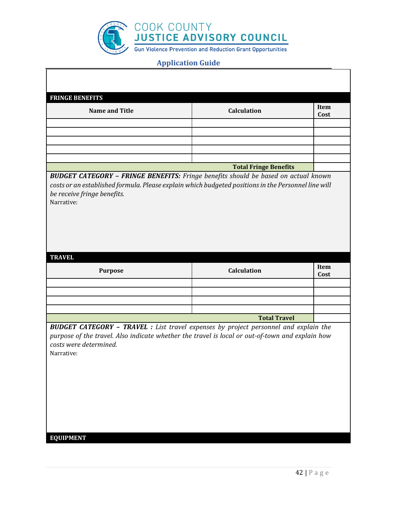

| <b>FRINGE BENEFITS</b>                                                                              |                              |      |
|-----------------------------------------------------------------------------------------------------|------------------------------|------|
|                                                                                                     |                              |      |
| <b>Name and Title</b>                                                                               | <b>Calculation</b>           | Item |
|                                                                                                     |                              | Cost |
|                                                                                                     |                              |      |
|                                                                                                     |                              |      |
|                                                                                                     |                              |      |
|                                                                                                     |                              |      |
|                                                                                                     |                              |      |
|                                                                                                     |                              |      |
|                                                                                                     |                              |      |
|                                                                                                     | <b>Total Fringe Benefits</b> |      |
| <b>BUDGET CATEGORY - FRINGE BENEFITS:</b> Fringe benefits should be based on actual known           |                              |      |
| costs or an established formula. Please explain which budgeted positions in the Personnel line will |                              |      |
|                                                                                                     |                              |      |
| be receive fringe benefits.                                                                         |                              |      |
| Narrative:                                                                                          |                              |      |
|                                                                                                     |                              |      |
|                                                                                                     |                              |      |
|                                                                                                     |                              |      |
|                                                                                                     |                              |      |
|                                                                                                     |                              |      |
|                                                                                                     |                              |      |
|                                                                                                     |                              |      |
|                                                                                                     |                              |      |
|                                                                                                     |                              |      |
| <b>TRAVEL</b>                                                                                       |                              |      |
|                                                                                                     | Calculation                  | Item |
| <b>Purpose</b>                                                                                      |                              | Cost |
|                                                                                                     |                              |      |
|                                                                                                     |                              |      |
|                                                                                                     |                              |      |
|                                                                                                     |                              |      |
|                                                                                                     |                              |      |
|                                                                                                     | <b>Total Travel</b>          |      |
|                                                                                                     |                              |      |
| <b>BUDGET CATEGORY - TRAVEL</b> : List travel expenses by project personnel and explain the         |                              |      |
| purpose of the travel. Also indicate whether the travel is local or out-of-town and explain how     |                              |      |
| costs were determined.                                                                              |                              |      |
|                                                                                                     |                              |      |
| Narrative:                                                                                          |                              |      |
|                                                                                                     |                              |      |
|                                                                                                     |                              |      |
|                                                                                                     |                              |      |
|                                                                                                     |                              |      |
|                                                                                                     |                              |      |
|                                                                                                     |                              |      |
|                                                                                                     |                              |      |
|                                                                                                     |                              |      |
|                                                                                                     |                              |      |
|                                                                                                     |                              |      |
|                                                                                                     |                              |      |
| <b>EQUIPMENT</b>                                                                                    |                              |      |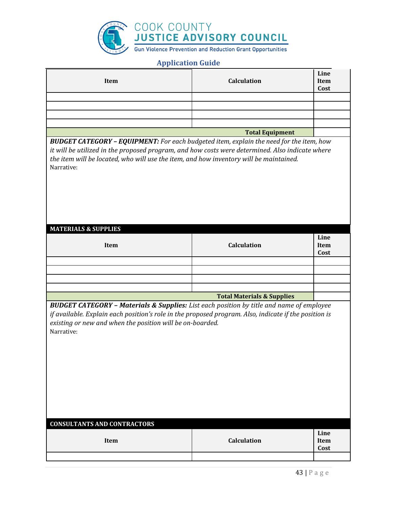

| Item | <b>Calculation</b>     | Line<br>Item<br>Cost |
|------|------------------------|----------------------|
|      |                        |                      |
|      |                        |                      |
|      |                        |                      |
|      |                        |                      |
|      | <b>Total Equipment</b> |                      |

*BUDGET CATEGORY – EQUIPMENT: For each budgeted item, explain the need for the item, how it will be utilized in the proposed program, and how costs were determined. Also indicate where the item will be located, who will use the item, and how inventory will be maintained.* Narrative:

| <b>MATERIALS &amp; SUPPLIES</b> |                                       |      |
|---------------------------------|---------------------------------------|------|
|                                 |                                       | Line |
| Item                            | <b>Calculation</b>                    | Item |
|                                 |                                       | Cost |
|                                 |                                       |      |
|                                 |                                       |      |
|                                 |                                       |      |
|                                 |                                       |      |
|                                 | <b>Total Materials &amp; Supplies</b> |      |

*BUDGET CATEGORY – Materials & Supplies: List each position by title and name of employee if available. Explain each position's role in the proposed program. Also, indicate if the position is existing or new and when the position will be on-boarded.* Narrative:

| <b>CONSULTANTS AND CONTRACTORS</b> |                    |                      |  |
|------------------------------------|--------------------|----------------------|--|
| Item                               | <b>Calculation</b> | Line<br>Item<br>Cost |  |
|                                    |                    |                      |  |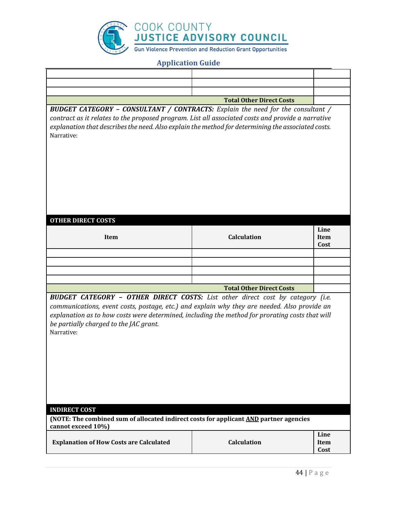

|                                                                                                                                                                                                                                                                                                                                                                          | <b>Total Other Direct Costs</b> |                      |
|--------------------------------------------------------------------------------------------------------------------------------------------------------------------------------------------------------------------------------------------------------------------------------------------------------------------------------------------------------------------------|---------------------------------|----------------------|
| <b>BUDGET CATEGORY - CONSULTANT / CONTRACTS:</b> Explain the need for the consultant /                                                                                                                                                                                                                                                                                   |                                 |                      |
| contract as it relates to the proposed program. List all associated costs and provide a narrative<br>explanation that describes the need. Also explain the method for determining the associated costs.<br>Narrative:                                                                                                                                                    |                                 |                      |
| <b>OTHER DIRECT COSTS</b><br>Item                                                                                                                                                                                                                                                                                                                                        | <b>Calculation</b>              | Line<br>Item         |
|                                                                                                                                                                                                                                                                                                                                                                          |                                 | Cost                 |
|                                                                                                                                                                                                                                                                                                                                                                          |                                 |                      |
|                                                                                                                                                                                                                                                                                                                                                                          |                                 |                      |
|                                                                                                                                                                                                                                                                                                                                                                          |                                 |                      |
|                                                                                                                                                                                                                                                                                                                                                                          | <b>Total Other Direct Costs</b> |                      |
| <b>BUDGET CATEGORY - OTHER DIRECT COSTS:</b> List other direct cost by category (i.e.<br>communications, event costs, postage, etc.) and explain why they are needed. Also provide an<br>explanation as to how costs were determined, including the method for prorating costs that will<br>be partially charged to the JAC grant.<br>Narrative:<br><b>INDIRECT COST</b> |                                 |                      |
| (NOTE: The combined sum of allocated indirect costs for applicant AND partner agencies                                                                                                                                                                                                                                                                                   |                                 |                      |
| cannot exceed 10%)                                                                                                                                                                                                                                                                                                                                                       |                                 |                      |
| <b>Explanation of How Costs are Calculated</b>                                                                                                                                                                                                                                                                                                                           | Calculation                     | Line<br>Item<br>Cost |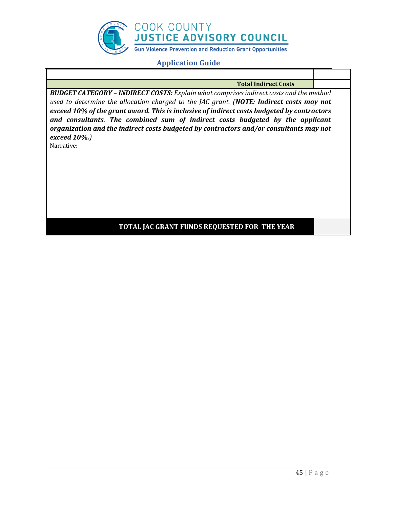

| <b>Total Indirect Costs</b><br><b>BUDGET CATEGORY - INDIRECT COSTS:</b> Explain what comprises indirect costs and the method<br>used to determine the allocation charged to the JAC grant. (NOTE: Indirect costs may not |                                                                                                                                        |
|--------------------------------------------------------------------------------------------------------------------------------------------------------------------------------------------------------------------------|----------------------------------------------------------------------------------------------------------------------------------------|
|                                                                                                                                                                                                                          |                                                                                                                                        |
| exceed 10% of the grant award. This is inclusive of indirect costs budgeted by contractors<br>and consultants. The combined sum of indirect costs budgeted by the applicant                                              |                                                                                                                                        |
|                                                                                                                                                                                                                          |                                                                                                                                        |
|                                                                                                                                                                                                                          | organization and the indirect costs budgeted by contractors and/or consultants may not<br>TOTAL JAC GRANT FUNDS REQUESTED FOR THE YEAR |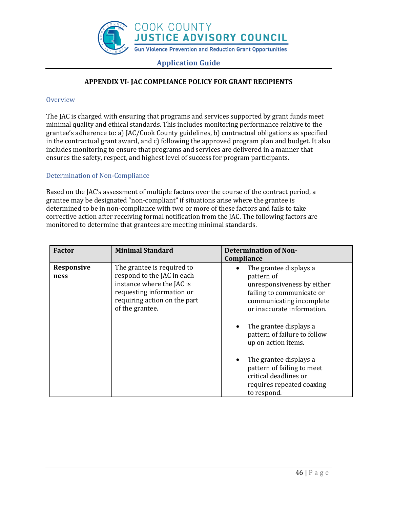

# **APPENDIX VI- JAC COMPLIANCE POLICY FOR GRANT RECIPIENTS**

#### **Overview**

The JAC is charged with ensuring that programs and services supported by grant funds meet minimal quality and ethical standards. This includes monitoring performance relative to the grantee's adherence to: a) JAC/Cook County guidelines, b) contractual obligations as specified in the contractual grant award, and c) following the approved program plan and budget. It also includes monitoring to ensure that programs and services are delivered in a manner that ensures the safety, respect, and highest level of success for program participants.

### Determination of Non-Compliance

Based on the JAC's assessment of multiple factors over the course of the contract period, a grantee may be designated "non-compliant" if situations arise where the grantee is determined to be in non-compliance with two or more of these factors and fails to take corrective action after receiving formal notification from the JAC. The following factors are monitored to determine that grantees are meeting minimal standards.

| <b>Factor</b>      | <b>Minimal Standard</b>                                                                                                                                               | <b>Determination of Non-</b><br>Compliance                                                                                                                                                                                                                                                                                                                                   |
|--------------------|-----------------------------------------------------------------------------------------------------------------------------------------------------------------------|------------------------------------------------------------------------------------------------------------------------------------------------------------------------------------------------------------------------------------------------------------------------------------------------------------------------------------------------------------------------------|
| Responsive<br>ness | The grantee is required to<br>respond to the JAC in each<br>instance where the JAC is<br>requesting information or<br>requiring action on the part<br>of the grantee. | The grantee displays a<br>pattern of<br>unresponsiveness by either<br>failing to communicate or<br>communicating incomplete<br>or inaccurate information.<br>The grantee displays a<br>pattern of failure to follow<br>up on action items.<br>The grantee displays a<br>٠<br>pattern of failing to meet<br>critical deadlines or<br>requires repeated coaxing<br>to respond. |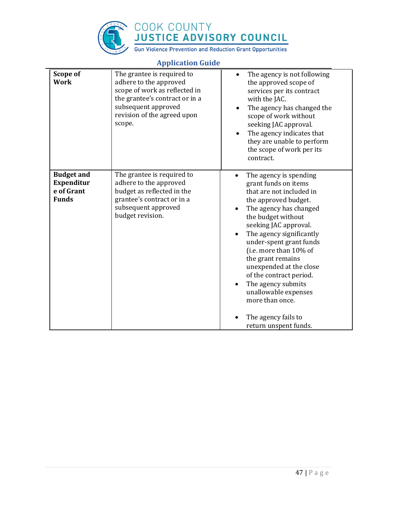

# COOK COUNTY **JUSTICE ADVISORY COUNCIL**

**Gun Violence Prevention and Reduction Grant Opportunities** 

#### **Scope of Work** The grantee is required to adhere to the approved scope of work as reflected in the grantee's contract or in a subsequent approved revision of the agreed upon scope. • The agency is not following the approved scope of services per its contract with the JAC. • The agency has changed the scope of work without seeking JAC approval. • The agency indicates that they are unable to perform the scope of work per its contract. **Budget and Expenditur e of Grant Funds** The grantee is required to adhere to the approved budget as reflected in the grantee's contract or in a subsequent approved budget revision. • The agency is spending grant funds on items that are not included in the approved budget. • The agency has changed the budget without seeking JAC approval. • The agency significantly under-spent grant funds (i.e. more than 10% of the grant remains unexpended at the close of the contract period. • The agency submits unallowable expenses more than once. • The agency fails to return unspent funds.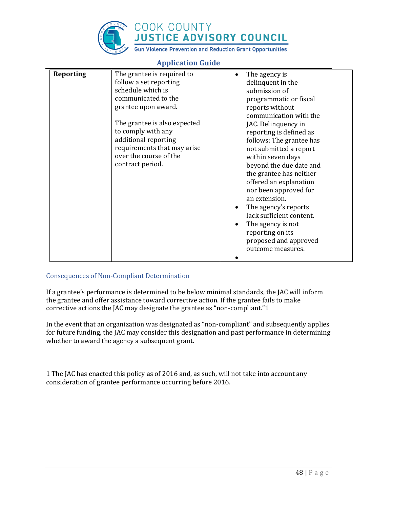

| <b>Reporting</b> | The grantee is required to<br>follow a set reporting<br>schedule which is<br>communicated to the<br>grantee upon award.<br>The grantee is also expected<br>to comply with any<br>additional reporting<br>requirements that may arise<br>over the course of the<br>contract period. | The agency is<br>$\bullet$<br>delinquent in the<br>submission of<br>programmatic or fiscal<br>reports without<br>communication with the<br>JAC. Delinquency in<br>reporting is defined as<br>follows: The grantee has<br>not submitted a report<br>within seven days<br>beyond the due date and<br>the grantee has neither<br>offered an explanation<br>nor been approved for<br>an extension.<br>The agency's reports<br>$\bullet$<br>lack sufficient content.<br>The agency is not<br>٠<br>reporting on its |
|------------------|------------------------------------------------------------------------------------------------------------------------------------------------------------------------------------------------------------------------------------------------------------------------------------|---------------------------------------------------------------------------------------------------------------------------------------------------------------------------------------------------------------------------------------------------------------------------------------------------------------------------------------------------------------------------------------------------------------------------------------------------------------------------------------------------------------|
|                  |                                                                                                                                                                                                                                                                                    | proposed and approved<br>outcome measures.                                                                                                                                                                                                                                                                                                                                                                                                                                                                    |

# **Application Guide**

### Consequences of Non-Compliant Determination

If a grantee's performance is determined to be below minimal standards, the JAC will inform the grantee and offer assistance toward corrective action. If the grantee fails to make corrective actions the JAC may designate the grantee as "non-compliant."1

In the event that an organization was designated as "non-compliant" and subsequently applies for future funding, the JAC may consider this designation and past performance in determining whether to award the agency a subsequent grant.

1 The JAC has enacted this policy as of 2016 and, as such, will not take into account any consideration of grantee performance occurring before 2016.